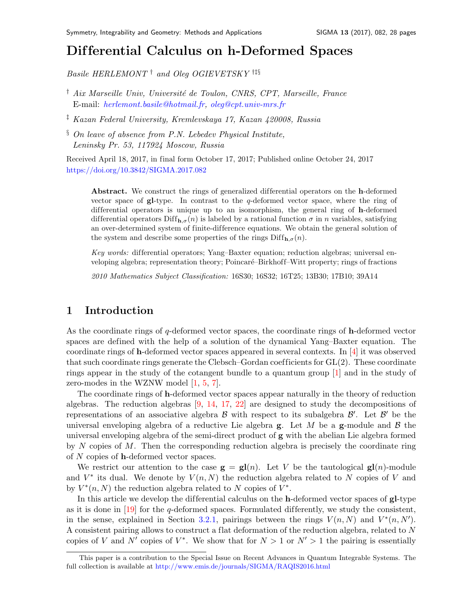# Dif ferential Calculus on h-Deformed Space[s](#page-0-0)

Basile HERLEMONT  $^\dagger$  and Oleg OGIEVETSKY  $^{\dagger\ddagger\S}$ 

- <sup>†</sup> Aix Marseille Univ, Université de Toulon, CNRS, CPT, Marseille, France E-mail: [herlemont.basile@hotmail.fr,](mailto:herlemont.basile@hotmail.fr) [oleg@cpt.univ-mrs.fr](mailto:oleg@cpt.univ-mrs.fr)
- ‡ Kazan Federal University, Kremlevskaya 17, Kazan 420008, Russia
- § On leave of absence from P.N. Lebedev Physical Institute, Leninsky Pr. 53, 117924 Moscow, Russia

Received April 18, 2017, in final form October 17, 2017; Published online October 24, 2017 <https://doi.org/10.3842/SIGMA.2017.082>

Abstract. We construct the rings of generalized differential operators on the h-deformed vector space of  $gl-type$ . In contrast to the q-deformed vector space, where the ring of differential operators is unique up to an isomorphism, the general ring of h-deformed differential operators  $\text{Diff}_{h,\sigma}(n)$  is labeled by a rational function  $\sigma$  in n variables, satisfying an over-determined system of finite-dif ference equations. We obtain the general solution of the system and describe some properties of the rings  $\text{Diff}_{h,\sigma}(n)$ .

Key words: differential operators; Yang–Baxter equation; reduction algebras; universal enveloping algebra; representation theory; Poincaré–Birkhoff–Witt property; rings of fractions

2010 Mathematics Subject Classification: 16S30; 16S32; 16T25; 13B30; 17B10; 39A14

# 1 Introduction

As the coordinate rings of q-deformed vector spaces, the coordinate rings of h-deformed vector spaces are defined with the help of a solution of the dynamical Yang–Baxter equation. The coordinate rings of h-deformed vector spaces appeared in several contexts. In [\[4\]](#page-27-0) it was observed that such coordinate rings generate the Clebsch–Gordan coefficients for  $GL(2)$ . These coordinate rings appear in the study of the cotangent bundle to a quantum group [\[1\]](#page-27-1) and in the study of zero-modes in the WZNW model [\[1,](#page-27-1) [5,](#page-27-2) [7\]](#page-27-3).

The coordinate rings of h-deformed vector spaces appear naturally in the theory of reduction algebras. The reduction algebras [\[9,](#page-27-4) [14,](#page-27-5) [17,](#page-27-6) [22\]](#page-27-7) are designed to study the decompositions of representations of an associative algebra  $\beta$  with respect to its subalgebra  $\beta'$ . Let  $\beta'$  be the universal enveloping algebra of a reductive Lie algebra  $g$ . Let M be a  $g$ -module and B the universal enveloping algebra of the semi-direct product of g with the abelian Lie algebra formed by N copies of M. Then the corresponding reduction algebra is precisely the coordinate ring of N copies of h-deformed vector spaces.

We restrict our attention to the case  $g = gl(n)$ . Let V be the tautological  $gl(n)$ -module and  $V^*$  its dual. We denote by  $V(n, N)$  the reduction algebra related to N copies of V and by  $V^*(n, N)$  the reduction algebra related to N copies of  $V^*$ .

In this article we develop the differential calculus on the **h**-deformed vector spaces of **gl**-type as it is done in  $[19]$  for the q-deformed spaces. Formulated differently, we study the consistent, in the sense, explained in Section [3.2.1,](#page-5-0) pairings between the rings  $V(n, N)$  and  $V^*(n, N')$ . A consistent pairing allows to construct a flat deformation of the reduction algebra, related to N copies of V and N' copies of  $V^*$ . We show that for  $N > 1$  or  $N' > 1$  the pairing is essentially

<span id="page-0-0"></span>This paper is a contribution to the Special Issue on Recent Advances in Quantum Integrable Systems. The full collection is available at <http://www.emis.de/journals/SIGMA/RAQIS2016.html>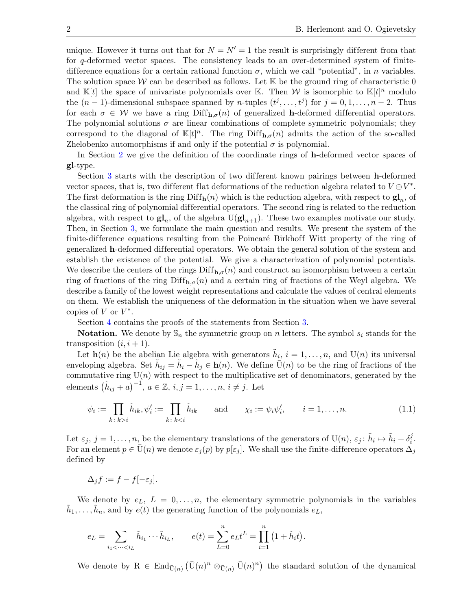unique. However it turns out that for  $N = N' = 1$  the result is surprisingly different from that for q-deformed vector spaces. The consistency leads to an over-determined system of finitedifference equations for a certain rational function  $\sigma$ , which we call "potential", in n variables. The solution space W can be described as follows. Let  $\mathbb K$  be the ground ring of characteristic 0 and  $\mathbb{K}[t]$  the space of univariate polynomials over K. Then W is isomorphic to  $\mathbb{K}[t]^n$  modulo the  $(n-1)$ -dimensional subspace spanned by *n*-tuples  $(t^j, \ldots, t^j)$  for  $j = 0, 1, \ldots, n-2$ . Thus for each  $\sigma \in \mathcal{W}$  we have a ring  $\text{Diff}_{h,\sigma}(n)$  of generalized h-deformed differential operators. The polynomial solutions  $\sigma$  are linear combinations of complete symmetric polynomials; they correspond to the diagonal of  $\mathbb{K}[t]^n$ . The ring  $\text{Diff}_{h,\sigma}(n)$  admits the action of the so-called Zhelobenko automorphisms if and only if the potential  $\sigma$  is polynomial.

In Section [2](#page-2-0) we give the definition of the coordinate rings of h-deformed vector spaces of gl-type.

Section [3](#page-3-0) starts with the description of two different known pairings between h-deformed vector spaces, that is, two different flat deformations of the reduction algebra related to  $V \oplus V^*$ . The first deformation is the ring  $\text{Diff}_{\mathbf{h}}(n)$  which is the reduction algebra, with respect to  $\mathbf{gl}_n$ , of the classical ring of polynomial differential operators. The second ring is related to the reduction algebra, with respect to  $\mathbf{gl}_n$ , of the algebra  $U(\mathbf{gl}_{n+1})$ . These two examples motivate our study. Then, in Section [3,](#page-3-0) we formulate the main question and results. We present the system of the finite-difference equations resulting from the Poincaré–Birkhoff–Witt property of the ring of generalized h-deformed dif ferential operators. We obtain the general solution of the system and establish the existence of the potential. We give a characterization of polynomial potentials. We describe the centers of the rings  $\text{Diff}_{h,\sigma}(n)$  and construct an isomorphism between a certain ring of fractions of the ring Diff<sub>h, $\sigma$ </sub> $(n)$  and a certain ring of fractions of the Weyl algebra. We describe a family of the lowest weight representations and calculate the values of central elements on them. We establish the uniqueness of the deformation in the situation when we have several copies of  $V$  or  $V^*$ .

Section [4](#page-9-0) contains the proofs of the statements from Section [3.](#page-3-0)

**Notation.** We denote by  $\mathbb{S}_n$  the symmetric group on *n* letters. The symbol  $s_i$  stands for the transposition  $(i, i + 1)$ .

Let  $\mathbf{h}(n)$  be the abelian Lie algebra with generators  $\tilde{h}_i$ ,  $i = 1, \ldots, n$ , and  $\mathrm{U}(n)$  its universal enveloping algebra. Set  $\tilde{h}_{ij} = \tilde{h}_i - \tilde{h}_j \in \mathbf{h}(n)$ . We define  $\overline{U}(n)$  to be the ring of fractions of the commutative ring  $U(n)$  with respect to the multiplicative set of denominators, generated by the elements  $(\tilde{h}_{ij} + a)^{-1}$ ,  $a \in \mathbb{Z}$ ,  $i, j = 1, \ldots, n$ ,  $i \neq j$ . Let

<span id="page-1-0"></span>
$$
\psi_i := \prod_{k \colon k > i} \tilde{h}_{ik}, \psi'_i := \prod_{k \colon k < i} \tilde{h}_{ik} \quad \text{and} \quad \chi_i := \psi_i \psi'_i, \quad i = 1, \dots, n. \tag{1.1}
$$

Let  $\varepsilon_j$ ,  $j = 1, \ldots, n$ , be the elementary translations of the generators of  $U(n)$ ,  $\varepsilon_j : \tilde{h}_i \mapsto \tilde{h}_i + \delta_i^j$  $\frac{j}{i}$  . For an element  $p \in \bar{U}(n)$  we denote  $\varepsilon_i(p)$  by  $p[\varepsilon_j]$ . We shall use the finite-difference operators  $\Delta_i$ defined by

$$
\Delta_j f := f - f[-\varepsilon_j].
$$

We denote by  $e_L$ ,  $L = 0, \ldots, n$ , the elementary symmetric polynomials in the variables  $\tilde{h}_1, \ldots, \tilde{h}_n$ , and by  $e(t)$  the generating function of the polynomials  $e_L$ ,

$$
e_L = \sum_{i_1 < \dots < i_L} \tilde{h}_{i_1} \dots \tilde{h}_{i_L}, \qquad e(t) = \sum_{L=0}^n e_L t^L = \prod_{i=1}^n (1 + \tilde{h}_i t).
$$

We denote by  $R \in \text{End}_{\bar{U}(n)} (\bar{U}(n)^n \otimes_{\bar{U}(n)} \bar{U}(n)^n)$  the standard solution of the dynamical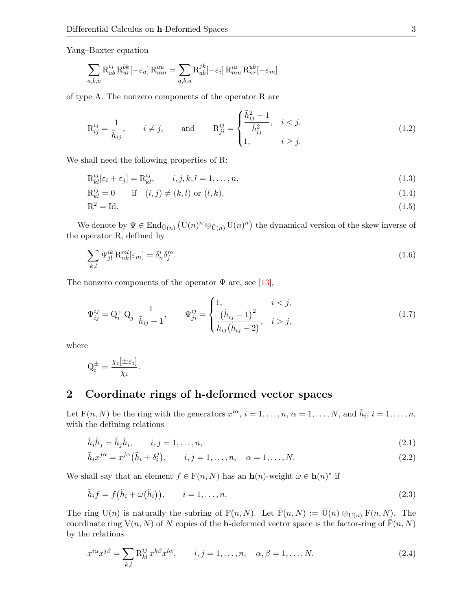Yang–Baxter equation

$$
\sum_{a,b,u} \mathbf{R}_{ab}^{ij} \mathbf{R}_{ur}^{bk}[-\varepsilon_a] \mathbf{R}_{mn}^{au} = \sum_{a,b,u} \mathbf{R}_{ab}^{jk}[-\varepsilon_i] \mathbf{R}_{mu}^{ia} \mathbf{R}_{nr}^{ub}[-\varepsilon_m]
$$

of type A. The nonzero components of the operator R are

<span id="page-2-7"></span>
$$
\mathcal{R}_{ij}^{ij} = \frac{1}{\tilde{h}_{ij}}, \qquad i \neq j, \qquad \text{and} \qquad \mathcal{R}_{ji}^{ij} = \begin{cases} \frac{\tilde{h}_{ij}^2 - 1}{\tilde{h}_{ij}^2}, & i < j, \\ 1, & i \geq j. \end{cases} \tag{1.2}
$$

We shall need the following properties of R:

<span id="page-2-5"></span>
$$
\mathcal{R}_{kl}^{ij}[\varepsilon_i + \varepsilon_j] = \mathcal{R}_{kl}^{ij}, \qquad i, j, k, l = 1, \dots, n,
$$
\n(1.3)

$$
\mathcal{R}_{kl}^{ij} = 0 \qquad \text{if} \quad (i,j) \neq (k,l) \text{ or } (l,k), \tag{1.4}
$$

<span id="page-2-10"></span><span id="page-2-6"></span>
$$
R^2 = Id. \tag{1.5}
$$

We denote by  $\Psi \in \text{End}_{\bar{U}(n)} (\bar{U}(n)^n \otimes_{\bar{U}(n)} \bar{U}(n)^n)$  the dynamical version of the skew inverse of the operator R, defined by

<span id="page-2-8"></span>
$$
\sum_{k,l} \Psi_{jl}^{ik} \mathbf{R}_{nk}^{ml} [\varepsilon_m] = \delta_n^i \delta_j^m. \tag{1.6}
$$

The nonzero components of the operator  $\Psi$  are, see [\[13\]](#page-27-9),

<span id="page-2-9"></span>
$$
\Psi_{ij}^{ij} = Q_i^+ Q_j^- \frac{1}{\tilde{h}_{ij} + 1}, \qquad \Psi_{ji}^{ij} = \begin{cases} 1, & i < j, \\ \frac{(\tilde{h}_{ij} - 1)^2}{\tilde{h}_{ij}(\tilde{h}_{ij} - 2)}, & i > j, \end{cases}
$$
(1.7)

where

$$
Q_i^{\pm} = \frac{\chi_i[\pm \varepsilon_i]}{\chi_i}.
$$

# <span id="page-2-0"></span>2 Coordinate rings of h-deformed vector spaces

Let  $F(n, N)$  be the ring with the generators  $x^{i\alpha}$ ,  $i = 1, \ldots, n$ ,  $\alpha = 1, \ldots, N$ , and  $\tilde{h}_i$ ,  $i = 1, \ldots, n$ , with the defining relations

$$
\tilde{h}_i \tilde{h}_j = \tilde{h}_j \tilde{h}_i, \qquad i, j = 1, \dots, n,
$$
\n
$$
(2.1)
$$

<span id="page-2-3"></span><span id="page-2-2"></span>
$$
\tilde{h}_i x^{j\alpha} = x^{j\alpha} (\tilde{h}_i + \delta_i^j), \qquad i, j = 1, \dots, n, \quad \alpha = 1, \dots, N. \tag{2.2}
$$

We shall say that an element  $f \in F(n, N)$  has an  $h(n)$ -weight  $\omega \in h(n)^*$  if

<span id="page-2-4"></span>
$$
\tilde{h}_i f = f(\tilde{h}_i + \omega(\tilde{h}_i)), \qquad i = 1, \dots, n. \tag{2.3}
$$

The ring U(n) is naturally the subring of  $F(n, N)$ . Let  $\bar{F}(n, N) := \bar{U}(n) \otimes_{U(n)} F(n, N)$ . The coordinate ring  $V(n, N)$  of N copies of the h-deformed vector space is the factor-ring of  $\bar{F}(n, N)$ by the relations

<span id="page-2-1"></span>
$$
x^{i\alpha}x^{j\beta} = \sum_{k,l} \mathcal{R}^{ij}_{kl} x^{k\beta} x^{l\alpha}, \qquad i, j = 1, \dots, n, \quad \alpha, \beta = 1, \dots, N.
$$
 (2.4)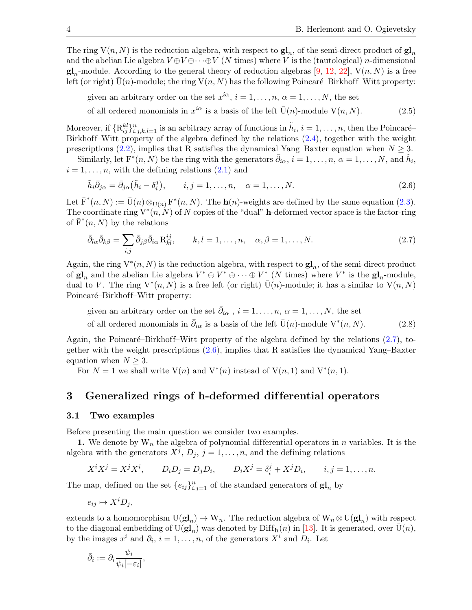The ring  $V(n, N)$  is the reduction algebra, with respect to  $\mathbf{gl}_n$ , of the semi-direct product of  $\mathbf{gl}_n$ and the abelian Lie algebra  $V \oplus V \oplus \cdots \oplus V$  (N times) where V is the (tautological) n-dimensional  $\mathbf{gl}_n$ -module. According to the general theory of reduction algebras [\[9,](#page-27-4) [12,](#page-27-10) [22\]](#page-27-7),  $V(n, N)$  is a free left (or right)  $U(n)$ -module; the ring  $V(n, N)$  has the following Poincaré–Birkhoff–Witt property:

given an arbitrary order on the set  $x^{i\alpha}, i = 1, \ldots, n, \alpha = 1, \ldots, N$ , the set

<span id="page-3-4"></span>of all ordered monomials in  $x^{i\alpha}$  is a basis of the left  $\bar{U}(n)$ -module  $V(n, N)$ . (2.5)

Moreover, if  $\{R_{ij}^{kl}\}_{i,j,k,l=1}^n$  is an arbitrary array of functions in  $\tilde{h}_i$ ,  $i=1,\ldots,n$ , then the Poincaré-Birkhoff–Witt property of the algebra defined by the relations  $(2.4)$ , together with the weight prescriptions [\(2.2\)](#page-2-2), implies that R satisfies the dynamical Yang–Baxter equation when  $N > 3$ .

Similarly, let  $F^*(n, N)$  be the ring with the generators  $\bar{\partial}_{i\alpha}, i=1,\ldots,n, \alpha=1,\ldots,N$ , and  $\tilde{h}_i$ ,  $i = 1, \ldots, n$ , with the defining relations  $(2.1)$  and

<span id="page-3-2"></span>
$$
\tilde{h}_i \bar{\partial}_{j\alpha} = \bar{\partial}_{j\alpha} (\tilde{h}_i - \delta_i^j), \qquad i, j = 1, \dots, n, \quad \alpha = 1, \dots, N.
$$
\n(2.6)

Let  $\bar{\mathrm{F}}^*(n, N) := \bar{\mathrm{U}}(n) \otimes_{\mathrm{U}(n)} \mathrm{F}^*(n, N)$ . The  $\mathbf{h}(n)$ -weights are defined by the same equation [\(2.3\)](#page-2-4). The coordinate ring  $V^*(n, N)$  of N copies of the "dual" **h**-deformed vector space is the factor-ring of  $\overline{\mathrm{F}}^*(n,N)$  by the relations

<span id="page-3-1"></span>
$$
\bar{\partial}_{l\alpha}\bar{\partial}_{k\beta} = \sum_{i,j}\bar{\partial}_{j\beta}\bar{\partial}_{i\alpha}\mathbf{R}_{kl}^{ij}, \qquad k,l = 1,\dots,n, \quad \alpha, \beta = 1,\dots,N.
$$
 (2.7)

Again, the ring  $V^*(n, N)$  is the reduction algebra, with respect to  $\mathbf{gl}_n$ , of the semi-direct product of  $\mathbf{gl}_n$  and the abelian Lie algebra  $V^* \oplus V^* \oplus \cdots \oplus V^*$  (N times) where  $V^*$  is the  $\mathbf{gl}_n$ -module, dual to V. The ring  $V^*(n, N)$  is a free left (or right)  $\overline{U}(n)$ -module; it has a similar to  $V(n, N)$ Poincaré–Birkhoff–Witt property:

<span id="page-3-5"></span>given an arbitrary order on the set  $\bar{\partial}_{i\alpha}$ ,  $i = 1, \ldots, n$ ,  $\alpha = 1, \ldots, N$ , the set of all ordered monomials in  $\bar{\partial}_{i\alpha}$  is a basis of the left  $\bar{U}(n)$ -module  $V^*(n, N)$ . (2.8)

Again, the Poincaré–Birkhoff–Witt property of the algebra defined by the relations  $(2.7)$ , together with the weight prescriptions [\(2.6\)](#page-3-2), implies that R satisfies the dynamical Yang–Baxter equation when  $N \geq 3$ .

For  $N = 1$  we shall write  $V(n)$  and  $V^*(n)$  instead of  $V(n, 1)$  and  $V^*(n, 1)$ .

# <span id="page-3-0"></span>3 Generalized rings of h-deformed dif ferential operators

### <span id="page-3-3"></span>3.1 Two examples

Before presenting the main question we consider two examples.

1. We denote by  $W_n$  the algebra of polynomial differential operators in n variables. It is the algebra with the generators  $X^j$ ,  $D_j$ ,  $j = 1, \ldots, n$ , and the defining relations

$$
X^i X^j = X^j X^i, \qquad D_i D_j = D_j D_i, \qquad D_i X^j = \delta_i^j + X^j D_i, \qquad i, j = 1, \dots, n.
$$

The map, defined on the set  $\{e_{ij}\}_{i,j=1}^n$  of the standard generators of  $\mathbf{gl}_n$  by

$$
e_{ij} \mapsto X^i D_j,
$$

extends to a homomorphism  $U(\mathbf{gl}_n) \to W_n$ . The reduction algebra of  $W_n \otimes U(\mathbf{gl}_n)$  with respect to the diagonal embedding of  $\mathrm{U}(\mathbf{gl}_n)$  was denoted by  $\mathrm{Diff}_{\mathbf{h}}(n)$  in [\[13\]](#page-27-9). It is generated, over  $\bar{\mathrm{U}}(n)$ , by the images  $x^i$  and  $\partial_i$ ,  $i = 1, \ldots, n$ , of the generators  $X^i$  and  $D_i$ . Let

$$
\bar{\partial}_i := \partial_i \frac{\psi_i}{\psi_i[-\varepsilon_i]},
$$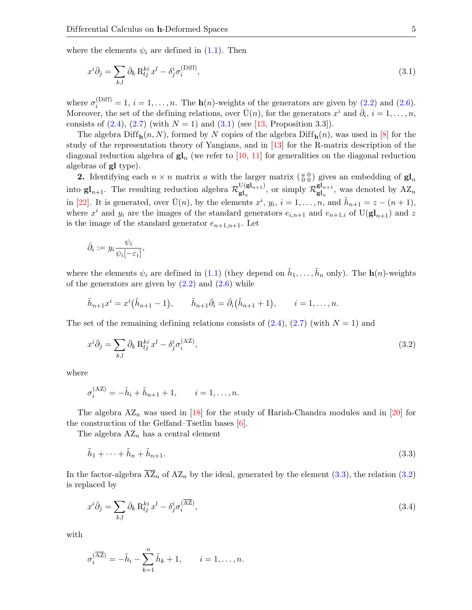where the elements  $\psi_i$  are defined in [\(1.1\)](#page-1-0). Then

<span id="page-4-0"></span>
$$
x^{i}\bar{\partial}_{j} = \sum_{k,l} \bar{\partial}_{k} R_{lj}^{ki} x^{l} - \delta_{j}^{i} \sigma_{i}^{(\text{Diff})}, \qquad (3.1)
$$

where  $\sigma_i^{(Diff)} = 1, i = 1, \ldots, n$ . The  $h(n)$ -weights of the generators are given by  $(2.2)$  and  $(2.6)$ . Moreover, the set of the defining relations, over  $\bar{U}(n)$ , for the generators  $x^i$  and  $\dot{\bar{\partial}}_i$ ,  $i = 1, \ldots, n$ , consists of  $(2.4)$ ,  $(2.7)$  (with  $N = 1$ ) and  $(3.1)$  (see [\[13,](#page-27-9) Proposition 3.3]).

The algebra  $\text{Diff}_{\mathbf{h}}(n, N)$ , formed by N copies of the algebra  $\text{Diff}_{\mathbf{h}}(n)$ , was used in [\[8\]](#page-27-11) for the study of the representation theory of Yangians, and in [\[13\]](#page-27-9) for the R-matrix description of the diagonal reduction algebra of  $\mathbf{gl}_n$  (we refer to [\[10,](#page-27-12) [11\]](#page-27-13) for generalities on the diagonal reduction algebras of gl type).

**2.** Identifying each  $n \times n$  matrix a with the larger matrix  $\begin{pmatrix} a & 0 \\ 0 & 0 \end{pmatrix}$  gives an embedding of  $\mathbf{gl}_n$ into  $gl_{n+1}$ . The resulting reduction algebra  $\mathcal{R}^{\text{U}(gl_{n+1})}_{gl_n}$  $\mathbf{g}_{\mathbf{g}_{n}}^{U(\mathbf{gl}_{n+1})}$ , or simply  $\mathcal{R}_{\mathbf{gl}_n}^{\mathbf{gl}_{n+1}}$  $\mathbf{g}_{n}^{\mathbf{g}_{n+1}}$ , was denoted by  $\mathbf{A}\mathbf{Z}_n$ in [\[22\]](#page-27-7). It is generated, over  $\bar{U}(n)$ , by the elements  $x^i$ ,  $y_i$ ,  $i = 1, ..., n$ , and  $\tilde{h}_{n+1} = z - (n+1)$ , where  $x^i$  and  $y_i$  are the images of the standard generators  $e_{i,n+1}$  and  $e_{n+1,i}$  of  $U(\mathbf{gl}_{n+1})$  and z is the image of the standard generator  $e_{n+1,n+1}$ . Let

$$
\bar{\partial}_i := y_i \frac{\psi_i}{\psi_i[-\varepsilon_i]},
$$

where the elements  $\psi_i$  are defined in [\(1.1\)](#page-1-0) (they depend on  $\tilde{h}_1, \ldots, \tilde{h}_n$  only). The  $\mathbf{h}(n)$ -weights of the generators are given by  $(2.2)$  and  $(2.6)$  while

$$
\tilde{h}_{n+1}x^{i} = x^{i}(\tilde{h}_{n+1} - 1), \qquad \tilde{h}_{n+1}\bar{\partial}_{i} = \bar{\partial}_{i}(\tilde{h}_{n+1} + 1), \qquad i = 1, ..., n.
$$

The set of the remaining defining relations consists of  $(2.4)$ ,  $(2.7)$  (with  $N = 1$ ) and

<span id="page-4-2"></span>
$$
x^{i}\bar{\partial}_{j} = \sum_{k,l} \bar{\partial}_{k} R_{lj}^{ki} x^{l} - \delta_{j}^{i} \sigma_{i}^{(AZ)},
$$
\n(3.2)

where

$$
\sigma_i^{(AZ)} = -\tilde{h}_i + \tilde{h}_{n+1} + 1, \qquad i = 1, \dots, n.
$$

The algebra  $AZ_n$  was used in [\[18\]](#page-27-14) for the study of Harish-Chandra modules and in [\[20\]](#page-27-15) for the construction of the Gelfand–Tsetlin bases  $[6]$ .

The algebra  $AZ_n$  has a central element

<span id="page-4-1"></span>
$$
\tilde{h}_1 + \dots + \tilde{h}_n + \tilde{h}_{n+1}.\tag{3.3}
$$

In the factor-algebra  $\overline{AZ}_n$  of  $AZ_n$  by the ideal, generated by the element [\(3.3\)](#page-4-1), the relation [\(3.2\)](#page-4-2) is replaced by

<span id="page-4-3"></span>
$$
x^{i}\bar{\partial}_{j} = \sum_{k,l} \bar{\partial}_{k} R_{lj}^{ki} x^{l} - \delta_{j}^{i} \sigma_{i}^{(\overline{AZ})},
$$
\n(3.4)

with

$$
\sigma_i^{(\overline{AZ})} = -\tilde{h}_i - \sum_{k=1}^n \tilde{h}_k + 1, \qquad i = 1, \dots, n.
$$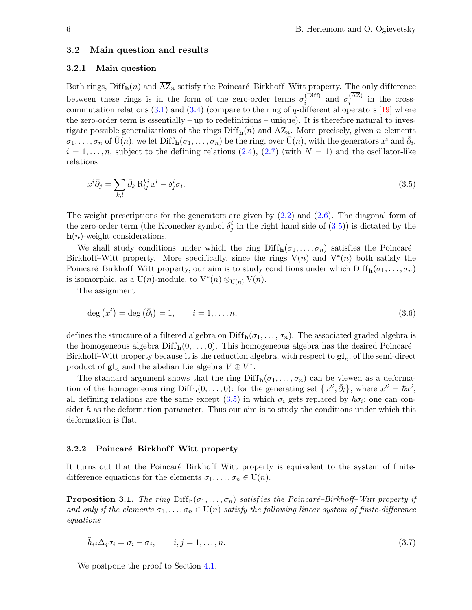### <span id="page-5-5"></span>3.2 Main question and results

#### <span id="page-5-0"></span>3.2.1 Main question

Both rings, Diff<sub>h</sub> $(n)$  and  $\overline{AZ}_n$  satisfy the Poincaré–Birkhoff–Witt property. The only difference between these rings is in the form of the zero-order terms  $\sigma_i^{\text{(Diff)}}$ (Diff) and  $\sigma_i^{(AZ)}$  $i^{(A2)}$  in the crosscommutation relations  $(3.1)$  and  $(3.4)$  (compare to the ring of q-differential operators [\[19\]](#page-27-8) where the zero-order term is essentially – up to redefinitions – unique). It is therefore natural to investigate possible generalizations of the rings  $\text{Diff}_{h}(n)$  and  $\overline{AZ}_{n}$ . More precisely, given n elements  $\sigma_1,\ldots,\sigma_n$  of  $\bar{U}(n)$ , we let  $\text{Diff}_h(\sigma_1,\ldots,\sigma_n)$  be the ring, over  $\bar{U}(n)$ , with the generators  $x^i$  and  $\bar{\partial}_i$ ,  $i = 1, \ldots, n$ , subject to the defining relations [\(2.4\)](#page-2-1), [\(2.7\)](#page-3-1) (with  $N = 1$ ) and the oscillator-like relations

<span id="page-5-1"></span>
$$
x^{i}\bar{\partial}_{j} = \sum_{k,l} \bar{\partial}_{k} R_{lj}^{ki} x^{l} - \delta_{j}^{i} \sigma_{i}.
$$
\n(3.5)

The weight prescriptions for the generators are given by  $(2.2)$  and  $(2.6)$ . The diagonal form of the zero-order term (the Kronecker symbol  $\delta_j^i$  in the right hand side of  $(3.5)$ ) is dictated by the  $h(n)$ -weight considerations.

We shall study conditions under which the ring  $\text{Diff}_{h}(\sigma_1, \ldots, \sigma_n)$  satisfies the Poincaré– Birkhoff–Witt property. More specifically, since the rings  $V(n)$  and  $V^*(n)$  both satisfy the Poincaré–Birkhoff–Witt property, our aim is to study conditions under which  $\text{Diff}_{h}(\sigma_1, \ldots, \sigma_n)$ is isomorphic, as a  $\bar{U}(n)$ -module, to  $V^*(n) \otimes_{\bar{U}(n)} V(n)$ .

The assignment

<span id="page-5-4"></span>
$$
\deg(x^i) = \deg(\bar{\partial}_i) = 1, \qquad i = 1, \dots, n,
$$
\n(3.6)

defines the structure of a filtered algebra on  $\text{Diff}_{h}(\sigma_1, \ldots, \sigma_n)$ . The associated graded algebra is the homogeneous algebra  $\text{Diff}_{h}(0, \ldots, 0)$ . This homogeneous algebra has the desired Poincaré– Birkhoff–Witt property because it is the reduction algebra, with respect to  $\mathbf{gl}_n$ , of the semi-direct product of  $\mathbf{gl}_n$  and the abelian Lie algebra  $V \oplus V^*$ .

The standard argument shows that the ring  $\text{Diff}_{h}(\sigma_1, \ldots, \sigma_n)$  can be viewed as a deformation of the homogeneous ring Diff<sub>h</sub> $(0, \ldots, 0)$ : for the generating set  $\{x^{i}, \bar{\partial}_{i}\}\$ , where  $x^{i} = \hbar x^{i}$ , all defining relations are the same except [\(3.5\)](#page-5-1) in which  $\sigma_i$  gets replaced by  $\hbar \sigma_i$ ; one can consider  $\hbar$  as the deformation parameter. Thus our aim is to study the conditions under which this deformation is flat.

#### 3.2.2 Poincaré–Birkhoff–Witt property

It turns out that the Poincaré–Birkhoff–Witt property is equivalent to the system of finitedifference equations for the elements  $\sigma_1, \ldots, \sigma_n \in \bar{U}(n)$ .

<span id="page-5-3"></span>**Proposition 3.1.** The ring  $\text{Diff}_{h}(\sigma_1, \ldots, \sigma_n)$  satisfies the Poincaré–Birkhoff–Witt property if and only if the elements  $\sigma_1, \ldots, \sigma_n \in \overline{U}(n)$  satisfy the following linear system of finite-difference equations

<span id="page-5-2"></span>
$$
\tilde{h}_{ij}\Delta_j \sigma_i = \sigma_i - \sigma_j, \qquad i, j = 1, \dots, n. \tag{3.7}
$$

We postpone the proof to Section [4.1.](#page-9-1)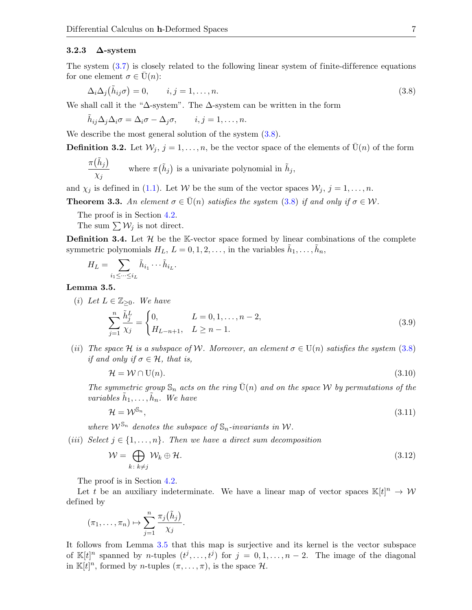#### 3.2.3  $\Delta$ -system

The system  $(3.7)$  is closely related to the following linear system of finite-difference equations for one element  $\sigma \in \bar{U}(n)$ :

<span id="page-6-0"></span>
$$
\Delta_i \Delta_j(\tilde{h}_{ij}\sigma) = 0, \qquad i, j = 1, \dots, n. \tag{3.8}
$$

We shall call it the " $\Delta$ -system". The  $\Delta$ -system can be written in the form

$$
\tilde{h}_{ij}\Delta_j\Delta_i\sigma=\Delta_i\sigma-\Delta_j\sigma,\qquad i,j=1,\ldots,n.
$$

We describe the most general solution of the system  $(3.8)$ .

<span id="page-6-3"></span>**Definition 3.2.** Let  $W_j$ ,  $j = 1, \ldots, n$ , be the vector space of the elements of  $\bar{U}(n)$  of the form

$$
\frac{\pi(\tilde{h}_j)}{\chi_j} \qquad \text{where } \pi(\tilde{h}_j) \text{ is a univariate polynomial in } \tilde{h}_j,
$$

and  $\chi_j$  is defined in [\(1.1\)](#page-1-0). Let W be the sum of the vector spaces  $\mathcal{W}_j$ ,  $j = 1, \ldots, n$ .

<span id="page-6-2"></span>**Theorem 3.3.** An element  $\sigma \in \bar{U}(n)$  satisfies the system [\(3.8\)](#page-6-0) if and only if  $\sigma \in \mathcal{W}$ .

The proof is in Section [4.2.](#page-11-0)

The sum  $\sum W_j$  is not direct.

<span id="page-6-4"></span>**Definition 3.4.** Let  $\mathcal{H}$  be the K-vector space formed by linear combinations of the complete symmetric polynomials  $H_L$ ,  $L = 0, 1, 2, \ldots$ , in the variables  $\tilde{h}_1, \ldots, \tilde{h}_n$ ,

$$
H_L = \sum_{i_1 \leq \dots \leq i_L} \tilde{h}_{i_1} \dots \tilde{h}_{i_L}.
$$

<span id="page-6-1"></span>Lemma 3.5.

(i) Let 
$$
L \in \mathbb{Z}_{\geq 0}
$$
. We have  
\n
$$
\sum_{j=1}^{n} \frac{\tilde{h}_j^L}{\chi_j} = \begin{cases} 0, & L = 0, 1, ..., n-2, \\ H_{L-n+1}, & L \geq n-1. \end{cases}
$$
\n(3.9)

(ii) The space H is a subspace of W. Moreover, an element  $\sigma \in U(n)$  satisfies the system [\(3.8\)](#page-6-0) if and only if  $\sigma \in \mathcal{H}$ , that is,

<span id="page-6-6"></span><span id="page-6-5"></span>
$$
\mathcal{H} = \mathcal{W} \cap U(n). \tag{3.10}
$$

The symmetric group  $\mathbb{S}_n$  acts on the ring  $U(n)$  and on the space W by permutations of the variables  $\tilde{h}_1, \ldots, \tilde{h}_n$ . We have

<span id="page-6-7"></span>
$$
\mathcal{H} = \mathcal{W}^{\mathbb{S}_n},\tag{3.11}
$$

where  $\mathcal{W}^{\mathbb{S}_n}$  denotes the subspace of  $\mathbb{S}_n$ -invariants in W.

(iii) Select  $j \in \{1, \ldots, n\}$ . Then we have a direct sum decomposition

<span id="page-6-8"></span>
$$
\mathcal{W} = \bigoplus_{k \colon k \neq j} \mathcal{W}_k \oplus \mathcal{H}.\tag{3.12}
$$

The proof is in Section [4.2.](#page-11-0)

Let t be an auxiliary indeterminate. We have a linear map of vector spaces  $\mathbb{K}[t]^n \to W$ defined by

$$
(\pi_1,\ldots,\pi_n)\mapsto \sum_{j=1}^n\frac{\pi_j(\tilde{h}_j)}{\chi_j}.
$$

It follows from Lemma [3.5](#page-6-1) that this map is surjective and its kernel is the vector subspace of  $\mathbb{K}[t]^n$  spanned by *n*-tuples  $(t^j,\ldots,t^j)$  for  $j=0,1,\ldots,n-2$ . The image of the diagonal in  $\mathbb{K}[t]^n$ , formed by *n*-tuples  $(\pi, \ldots, \pi)$ , is the space H.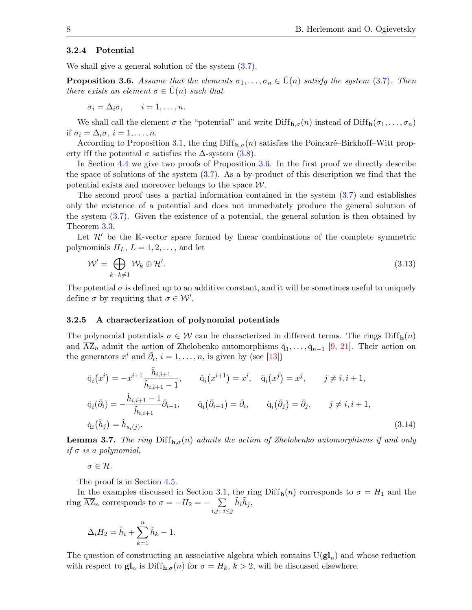#### 3.2.4 Potential

We shall give a general solution of the system  $(3.7)$ .

<span id="page-7-0"></span>**Proposition 3.6.** Assume that the elements  $\sigma_1, \ldots, \sigma_n \in \bar{U}(n)$  satisfy the system [\(3.7\)](#page-5-2). Then there exists an element  $\sigma \in U(n)$  such that

$$
\sigma_i = \Delta_i \sigma, \qquad i = 1, \dots, n.
$$

We shall call the element  $\sigma$  the "potential" and write  $\text{Diff}_{\mathbf{h},\sigma}(n)$  instead of  $\text{Diff}_{\mathbf{h}}(\sigma_1,\ldots,\sigma_n)$ if  $\sigma_i = \Delta_i \sigma, i = 1, \ldots, n$ .

According to Proposition [3.1,](#page-5-3) the ring  $\text{Diff}_{h,\sigma}(n)$  satisfies the Poincaré–Birkhoff–Witt property iff the potential  $\sigma$  satisfies the  $\Delta$ -system [\(3.8\)](#page-6-0).

In Section [4.4](#page-20-0) we give two proofs of Proposition [3.6.](#page-7-0) In the first proof we directly describe the space of solutions of the system [\(3.7\)](#page-5-2). As a by-product of this description we find that the potential exists and moreover belongs to the space  $W$ .

The second proof uses a partial information contained in the system [\(3.7\)](#page-5-2) and establishes only the existence of a potential and does not immediately produce the general solution of the system [\(3.7\)](#page-5-2). Given the existence of a potential, the general solution is then obtained by Theorem [3.3.](#page-6-2)

Let  $\mathcal{H}'$  be the K-vector space formed by linear combinations of the complete symmetric polynomials  $H_L$ ,  $L = 1, 2, \ldots$ , and let

<span id="page-7-1"></span>
$$
\mathcal{W}' = \bigoplus_{k \colon k \neq 1} \mathcal{W}_k \oplus \mathcal{H}'.\tag{3.13}
$$

The potential  $\sigma$  is defined up to an additive constant, and it will be sometimes useful to uniquely define  $\sigma$  by requiring that  $\sigma \in \mathcal{W}'$ .

#### 3.2.5 A characterization of polynomial potentials

The polynomial potentials  $\sigma \in \mathcal{W}$  can be characterized in different terms. The rings  $\text{Diff}_{\mathbf{h}}(n)$ and  $AZ_n$  admit the action of Zhelobenko automorphisms  $\check{q}_1, \ldots, \check{q}_{n-1}$  [\[9,](#page-27-4) [21\]](#page-27-17). Their action on the generators  $x^i$  and  $\bar{\partial}_i$ ,  $i = 1, \ldots, n$ , is given by (see [\[13\]](#page-27-9))

<span id="page-7-3"></span>
$$
\check{q}_i(x^i) = -x^{i+1} \frac{\tilde{h}_{i,i+1}}{\tilde{h}_{i,i+1} - 1}, \qquad \check{q}_i(x^{i+1}) = x^i, \quad \check{q}_i(x^j) = x^j, \qquad j \neq i, i+1,
$$
\n
$$
\check{q}_i(\bar{\partial}_i) = -\frac{\tilde{h}_{i,i+1} - 1}{\tilde{h}_{i,i+1}} \bar{\partial}_{i+1}, \qquad \check{q}_i(\bar{\partial}_{i+1}) = \bar{\partial}_i, \qquad \check{q}_i(\bar{\partial}_j) = \bar{\partial}_j, \qquad j \neq i, i+1,
$$
\n
$$
\check{q}_i(\tilde{h}_j) = \tilde{h}_{s_i(j)}.
$$
\n(3.14)

<span id="page-7-2"></span>**Lemma 3.7.** The ring  $Diff_{h,\sigma}(n)$  admits the action of Zhelobenko automorphisms if and only if  $\sigma$  is a polynomial,

 $\sigma \in \mathcal{H}$ .

The proof is in Section [4.5.](#page-23-0)

In the examples discussed in Section [3.1,](#page-3-3) the ring Diff<sub>h</sub> $(n)$  corresponds to  $\sigma = H_1$  and the ring  $\overline{AZ}_n$  corresponds to  $\sigma = -H_2 = -\sum$  $i,j$ :  $i \leq j$  $\tilde{h}_i\tilde{h}_j$ 

$$
\Delta_i H_2 = \tilde{h}_i + \sum_{k=1}^n \tilde{h}_k - 1.
$$

The question of constructing an associative algebra which contains  $U(\mathbf{gl}_n)$  and whose reduction with respect to  $\mathbf{gl}_n$  is  $\text{Diff}_{\mathbf{h},\sigma}(n)$  for  $\sigma = H_k$ ,  $k > 2$ , will be discussed elsewhere.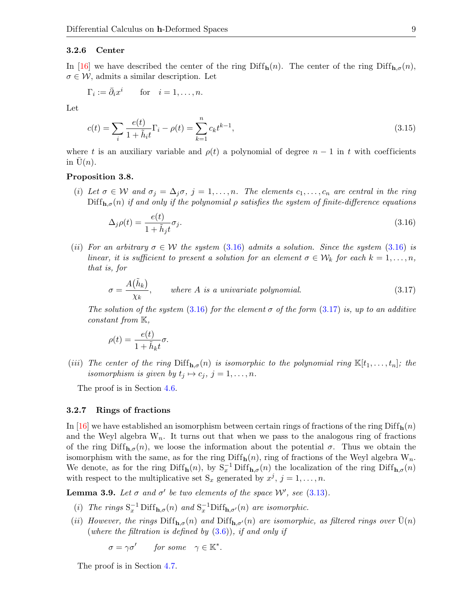#### 3.2.6 Center

In [\[16\]](#page-27-18) we have described the center of the ring Diff $_{h}(n)$ . The center of the ring Diff $_{h,\sigma}(n)$ ,  $\sigma \in \mathcal{W}$ , admits a similar description. Let

$$
\Gamma_i := \bar{\partial}_i x^i \qquad \text{for} \quad i = 1, \dots, n.
$$

Let

$$
c(t) = \sum_{i} \frac{e(t)}{1 + \tilde{h}_i t} \Gamma_i - \rho(t) = \sum_{k=1}^{n} c_k t^{k-1},
$$
\n(3.15)

where t is an auxiliary variable and  $\rho(t)$  a polynomial of degree  $n-1$  in t with coefficients in  $U(n)$ .

### <span id="page-8-3"></span>Proposition 3.8.

(i) Let  $\sigma \in W$  and  $\sigma_j = \Delta_j \sigma$ ,  $j = 1, \ldots, n$ . The elements  $c_1, \ldots, c_n$  are central in the ring  $\text{Diff}_{\mathbf{h},\sigma}(n)$  if and only if the polynomial  $\rho$  satisfies the system of finite-difference equations

<span id="page-8-2"></span><span id="page-8-0"></span>
$$
\Delta_j \rho(t) = \frac{e(t)}{1 + \tilde{h}_j t} \sigma_j. \tag{3.16}
$$

(ii) For an arbitrary  $\sigma \in \mathcal{W}$  the system [\(3.16\)](#page-8-0) admits a solution. Since the system (3.16) is linear, it is sufficient to present a solution for an element  $\sigma \in \mathcal{W}_k$  for each  $k = 1, \ldots, n$ , that is, for

<span id="page-8-1"></span>
$$
\sigma = \frac{A(\tilde{h}_k)}{\chi_k}, \qquad \text{where } A \text{ is a univariate polynomial.} \tag{3.17}
$$

The solution of the system [\(3.16\)](#page-8-0) for the element  $\sigma$  of the form [\(3.17\)](#page-8-1) is, up to an additive constant from  $K$ ,

$$
\rho(t) = \frac{e(t)}{1 + \tilde{h}_k t} \sigma.
$$

(iii) The center of the ring  $\text{Diff}_{\mathbf{h},\sigma}(n)$  is isomorphic to the polynomial ring  $\mathbb{K}[t_1,\ldots,t_n]$ ; the isomorphism is given by  $t_j \mapsto c_j, j = 1, \ldots, n$ .

The proof is in Section [4.6.](#page-23-1)

#### 3.2.7 Rings of fractions

In [\[16\]](#page-27-18) we have established an isomorphism between certain rings of fractions of the ring Diff $_{h}(n)$ and the Weyl algebra  $W_n$ . It turns out that when we pass to the analogous ring of fractions of the ring  $\text{Diff}_{h,\sigma}(n)$ , we loose the information about the potential  $\sigma$ . Thus we obtain the isomorphism with the same, as for the ring  $\text{Diff}_{h}(n)$ , ring of fractions of the Weyl algebra  $W_n$ . We denote, as for the ring  $\text{Diff}_{h}(n)$ , by  $S_x^{-1} \text{Diff}_{h,\sigma}(n)$  the localization of the ring  $\text{Diff}_{h,\sigma}(n)$ with respect to the multiplicative set  $S_x$  generated by  $x^j$ ,  $j = 1, \ldots, n$ .

<span id="page-8-4"></span>**Lemma 3.9.** Let  $\sigma$  and  $\sigma'$  be two elements of the space W', see [\(3.13\)](#page-7-1).

- (i) The rings  $S_x^{-1}$  Diff<sub>h, $\sigma$ </sub>(n) and  $S_x^{-1}$ Diff<sub>h, $\sigma'$ </sub>(n) are isomorphic.
- (ii) However, the rings  $\text{Diff}_{h,\sigma}(n)$  and  $\text{Diff}_{h,\sigma'}(n)$  are isomorphic, as filtered rings over  $U(n)$ (where the filtration is defined by  $(3.6)$ ), if and only if

 $\sigma = \gamma \sigma'$  for some  $\gamma \in \mathbb{K}^*$ .

The proof is in Section [4.7.](#page-24-0)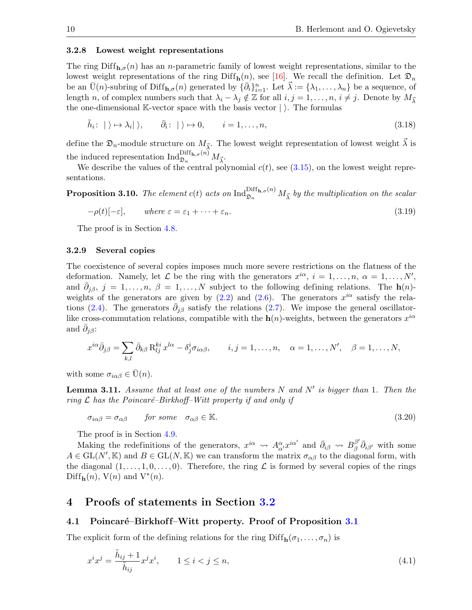#### 3.2.8 Lowest weight representations

The ring  $\text{Diff}_{h,\sigma}(n)$  has an n-parametric family of lowest weight representations, similar to the lowest weight representations of the ring Diff<sub>h</sub> $(n)$ , see [\[16\]](#page-27-18). We recall the definition. Let  $\mathfrak{D}_n$ be an  $\bar{U}(n)$ -subring of Diff<sub>h, $\sigma(n)$ </sub> generated by  $\{\bar{\partial}_i\}_{i=1}^n$ . Let  $\vec{\lambda} := {\lambda_1, \ldots, \lambda_n\}$  be a sequence, of length n, of complex numbers such that  $\lambda_i - \lambda_j \notin \mathbb{Z}$  for all  $i, j = 1, \ldots, n, i \neq j$ . Denote by  $M_{\vec{v}}$ the one-dimensional K-vector space with the basis vector  $|\rangle$ . The formulas

<span id="page-9-4"></span>
$$
\tilde{h}_i: \quad |\rangle \mapsto \lambda_i|\rangle, \qquad \bar{\partial}_i: \quad |\rangle \mapsto 0, \qquad i = 1, \dots, n,
$$
\n
$$
(3.18)
$$

define the  $\mathfrak{D}_n$ -module structure on  $M_{\vec{\lambda}}$ . The lowest weight representation of lowest weight  $\vec{\lambda}$  is the induced representation  $\operatorname{Ind}_{\mathfrak{D}_n}^{\operatorname{Diff}_{\mathbf{h},\sigma}(n)} M_{\vec{\lambda}}$ .

We describe the values of the central polynomial  $c(t)$ , see  $(3.15)$ , on the lowest weight representations.

<span id="page-9-3"></span>**Proposition 3.10.** The element  $c(t)$  acts on  $\text{Ind}_{\mathfrak{D}_n}^{\text{Diff}_{\mathbf{h},\sigma}(n)} M_{\vec{\lambda}}$  by the multiplication on the scalar

<span id="page-9-5"></span>
$$
-\rho(t)[-\varepsilon], \qquad \text{where } \varepsilon = \varepsilon_1 + \dots + \varepsilon_n. \tag{3.19}
$$

The proof is in Section [4.8.](#page-24-1)

#### 3.2.9 Several copies

The coexistence of several copies imposes much more severe restrictions on the flatness of the deformation. Namely, let  $\mathcal L$  be the ring with the generators  $x^{i\alpha}, i = 1, \ldots, n, \alpha = 1, \ldots, N'$ , and  $\bar{\partial}_{j\beta}, j = 1, \ldots, n, \beta = 1, \ldots, N$  subject to the following defining relations. The  $h(n)$ weights of the generators are given by  $(2.2)$  and  $(2.6)$ . The generators  $x^{i\alpha}$  satisfy the rela-tions [\(2.4\)](#page-2-1). The generators  $\bar{\partial}_{j\beta}$  satisfy the relations [\(2.7\)](#page-3-1). We impose the general oscillatorlike cross-commutation relations, compatible with the  $h(n)$ -weights, between the generators  $x^{i\alpha}$ and  $\bar{\partial}_{j\beta}$ :

$$
x^{i\alpha}\overline{\partial}_{j\beta} = \sum_{k,l} \overline{\partial}_{k\beta} R^{ki}_{lj} x^{l\alpha} - \delta^i_j \sigma_{i\alpha\beta}, \qquad i, j = 1, \dots, n, \quad \alpha = 1, \dots, N', \quad \beta = 1, \dots, N,
$$

with some  $\sigma_{i\alpha\beta} \in \bar{U}(n)$ .

<span id="page-9-6"></span>**Lemma 3.11.** Assume that at least one of the numbers N and N' is bigger than 1. Then the ring  $\mathcal L$  has the Poincaré–Birkhoff–Witt property if and only if

<span id="page-9-7"></span>
$$
\sigma_{i\alpha\beta} = \sigma_{\alpha\beta} \qquad \text{for some} \quad \sigma_{\alpha\beta} \in \mathbb{K}. \tag{3.20}
$$

The proof is in Section [4.9.](#page-26-0)

Making the redefinitions of the generators,  $x^{i\alpha} \leadsto A_{\alpha'}^{\alpha} x^{i\alpha'}$  and  $\bar{\partial}_{i\beta} \leadsto B_{\beta}^{\beta'}$  $^{\beta'}_{\beta} \bar{\partial}_{i\beta'}$  with some  $A \in GL(N', \mathbb{K})$  and  $B \in GL(N, \mathbb{K})$  we can transform the matrix  $\sigma_{\alpha\beta}$  to the diagonal form, with the diagonal  $(1, \ldots, 1, 0, \ldots, 0)$ . Therefore, the ring  $\mathcal L$  is formed by several copies of the rings Diff<sub>**h**</sub> $(n)$ ,  $V(n)$  and  $V^*(n)$ .

# <span id="page-9-0"></span>4 Proofs of statements in Section [3.2](#page-5-5)

### <span id="page-9-1"></span>4.1 Poincaré–Birkhoff–Witt property. Proof of Proposition [3.1](#page-5-3)

The explicit form of the defining relations for the ring  $\text{Diff}_{h}(\sigma_1, \ldots, \sigma_n)$  is

<span id="page-9-2"></span>
$$
x^i x^j = \frac{\tilde{h}_{ij} + 1}{\tilde{h}_{ij}} x^j x^i, \qquad 1 \le i < j \le n,
$$
\n
$$
(4.1)
$$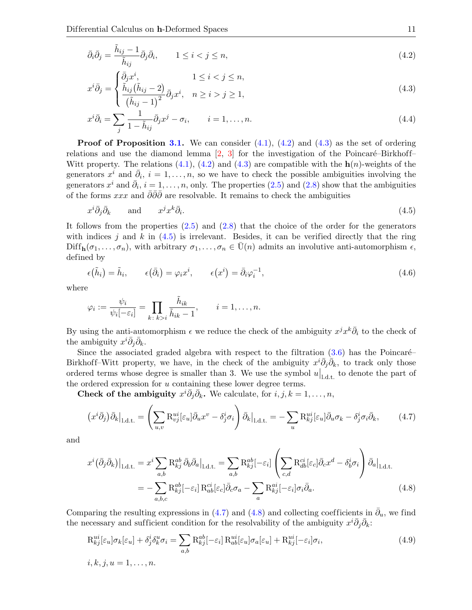$$
\bar{\partial}_i \bar{\partial}_j = \frac{\tilde{h}_{ij} - 1}{\tilde{h}_{ij}} \bar{\partial}_j \bar{\partial}_i, \qquad 1 \le i < j \le n,
$$
\n(4.2)

<span id="page-10-7"></span><span id="page-10-1"></span><span id="page-10-0"></span>
$$
\bar{\partial}_{j} = \begin{cases} \bar{\partial}_{j} x^{i}, & 1 \leq i < j \leq n, \\ \tilde{h}_{ij}(\tilde{h}_{ij} - 2)_{\bar{\partial}} & \end{cases}
$$
\n(4.3)

$$
x^{i}\bar{\partial}_{j} = \begin{cases} \frac{\tilde{h}_{ij}(\tilde{h}_{ij}-2)}{(\tilde{h}_{ij}-1)^{2}}\bar{\partial}_{j}x^{i}, & n \geq i > j \geq 1, \end{cases}
$$
\n(4.3)

$$
x^{i}\bar{\partial}_{i} = \sum_{j} \frac{1}{1 - \tilde{h}_{ij}} \bar{\partial}_{j} x^{j} - \sigma_{i}, \qquad i = 1, \dots, n.
$$
\n(4.4)

**Proof of Proposition [3.1.](#page-5-3)** We can consider  $(4.1)$ ,  $(4.2)$  and  $(4.3)$  as the set of ordering relations and use the diamond lemma  $[2, 3]$  $[2, 3]$  for the investigation of the Poincaré–Birkhoff– Witt property. The relations  $(4.1)$ ,  $(4.2)$  and  $(4.3)$  are compatible with the  $h(n)$ -weights of the generators  $x^i$  and  $\bar{\partial}_i$ ,  $i = 1, \ldots, n$ , so we have to check the possible ambiguities involving the generators  $x^i$  and  $\bar{\partial}_i$ ,  $i = 1, \ldots, n$ , only. The properties [\(2.5\)](#page-3-4) and [\(2.8\)](#page-3-5) show that the ambiguities of the forms xxx and  $\bar{\partial} \bar{\partial} \bar{\partial}$  are resolvable. It remains to check the ambiguities

<span id="page-10-2"></span>
$$
x^i \bar{\partial}_j \bar{\partial}_k \qquad \text{and} \qquad x^j x^k \bar{\partial}_i. \tag{4.5}
$$

It follows from the properties  $(2.5)$  and  $(2.8)$  that the choice of the order for the generators with indices j and k in  $(4.5)$  is irrelevant. Besides, it can be verified directly that the ring  $\text{Diff}_{\mathbf{h}}(\sigma_1,\ldots,\sigma_n)$ , with arbitrary  $\sigma_1,\ldots,\sigma_n\in\bar{U}(n)$  admits an involutive anti-automorphism  $\epsilon$ , defined by

<span id="page-10-6"></span>
$$
\epsilon(\tilde{h}_i) = \tilde{h}_i, \qquad \epsilon(\bar{\partial}_i) = \varphi_i x^i, \qquad \epsilon(x^i) = \bar{\partial}_i \varphi_i^{-1}, \qquad (4.6)
$$

where

i

$$
\varphi_i := \frac{\psi_i}{\psi_i[-\varepsilon_i]} = \prod_{k \colon k > i} \frac{\tilde{h}_{ik}}{\tilde{h}_{ik} - 1}, \qquad i = 1, \dots, n.
$$

By using the anti-automorphism  $\epsilon$  we reduce the check of the ambiguity  $x^j x^k \overline{\partial}_i$  to the check of the ambiguity  $x^i \overline{\partial}_j \overline{\partial}_k$ .

Since the associated graded algebra with respect to the filtration  $(3.6)$  has the Poincaré– Birkhoff–Witt property, we have, in the check of the ambiguity  $x^i \overline{\partial}_j \overline{\partial}_k$ , to track only those ordered terms whose degree is smaller than 3. We use the symbol  $u|_{1,d,t}$  to denote the part of the ordered expression for u containing these lower degree terms.

Check of the ambiguity  $x^i \overline{\partial}_j \overline{\partial}_k$ . We calculate, for  $i, j, k = 1, \ldots, n$ ,

<span id="page-10-3"></span>
$$
\left(x^{i}\bar{\partial}_{j}\right)\bar{\partial}_{k}\Big|_{1,\mathrm{d.t.}} = \left(\sum_{u,v} \mathrm{R}_{vj}^{ui}[\varepsilon_{u}]\bar{\partial}_{u}x^{v} - \delta_{j}^{i}\sigma_{i}\right)\bar{\partial}_{k}\Big|_{1,\mathrm{d.t.}} = -\sum_{u} \mathrm{R}_{kj}^{ui}[\varepsilon_{u}]\bar{\partial}_{u}\sigma_{k} - \delta_{j}^{i}\sigma_{i}\bar{\partial}_{k},\tag{4.7}
$$

and

<span id="page-10-4"></span>
$$
x^{i}(\bar{\partial}_{j}\bar{\partial}_{k})\big|_{1,\underline{d},\underline{t}} = x^{i} \sum_{a,b} \mathrm{R}_{kj}^{ab} \bar{\partial}_{b}\bar{\partial}_{a}\big|_{1,\underline{d},\underline{t}} = \sum_{a,b} \mathrm{R}_{kj}^{ab}[-\varepsilon_{i}] \left( \sum_{c,d} \mathrm{R}_{db}^{ci}[\varepsilon_{c}] \bar{\partial}_{c} x^{d} - \delta_{b}^{i} \sigma_{i} \right) \bar{\partial}_{a}\big|_{1,\underline{d},\underline{t}} = -\sum_{a,b,c} \mathrm{R}_{kj}^{ab}[-\varepsilon_{i}] \mathrm{R}_{ab}^{ci}[\varepsilon_{c}] \bar{\partial}_{c} \sigma_{a} - \sum_{a} \mathrm{R}_{kj}^{ai}[-\varepsilon_{i}] \sigma_{i} \bar{\partial}_{a}.
$$
 (4.8)

Comparing the resulting expressions in [\(4.7\)](#page-10-3) and [\(4.8\)](#page-10-4) and collecting coefficients in  $\bar{\partial}_u$ , we find the necessary and sufficient condition for the resolvability of the ambiguity  $x^i \overline{\partial}_j \overline{\partial}_k$ :

<span id="page-10-5"></span>
$$
R_{kj}^{ui}[\varepsilon_u]\sigma_k[\varepsilon_u] + \delta_j^i \delta_k^u \sigma_i = \sum_{a,b} R_{kj}^{ab}[-\varepsilon_i] R_{ab}^{ui}[\varepsilon_u] \sigma_a[\varepsilon_u] + R_{kj}^{ui}[-\varepsilon_i] \sigma_i,
$$
  
\n
$$
i, k, j, u = 1, ..., n.
$$
\n(4.9)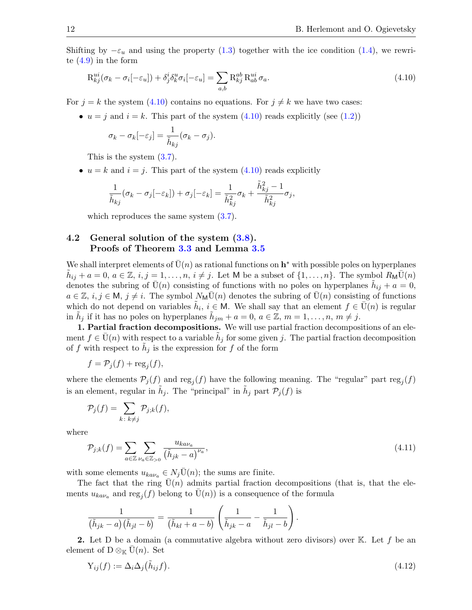Shifting by  $-\varepsilon_u$  and using the property [\(1.3\)](#page-2-5) together with the ice condition [\(1.4\)](#page-2-6), we rewrite [\(4.9\)](#page-10-5) in the form

$$
R_{kj}^{ui}(\sigma_k - \sigma_i[-\varepsilon_u]) + \delta_j^i \delta_k^u \sigma_i[-\varepsilon_u] = \sum_{a,b} R_{kj}^{ab} R_{ab}^{ui} \sigma_a.
$$
\n(4.10)

For  $j = k$  the system [\(4.10\)](#page-11-1) contains no equations. For  $j \neq k$  we have two cases:

•  $u = j$  and  $i = k$ . This part of the system [\(4.10\)](#page-11-1) reads explicitly (see [\(1.2\)](#page-2-7))

<span id="page-11-1"></span>
$$
\sigma_k - \sigma_k[-\varepsilon_j] = \frac{1}{\tilde{h}_{kj}}(\sigma_k - \sigma_j).
$$

This is the system [\(3.7\)](#page-5-2).

•  $u = k$  and  $i = j$ . This part of the system [\(4.10\)](#page-11-1) reads explicitly

$$
\frac{1}{\tilde{h}_{kj}}(\sigma_k-\sigma_j[-\varepsilon_k])+\sigma_j[-\varepsilon_k]=\frac{1}{\tilde{h}_{kj}^2}\sigma_k+\frac{\tilde{h}_{kj}^2-1}{\tilde{h}_{kj}^2}\sigma_j,
$$

which reproduces the same system  $(3.7)$ .

# <span id="page-11-0"></span>4.2 General solution of the system [\(3.8\)](#page-6-0). Proofs of Theorem [3.3](#page-6-2) and Lemma [3.5](#page-6-1)

We shall interpret elements of  $\bar{U}(n)$  as rational functions on  $h^*$  with possible poles on hyperplanes  $\tilde{h}_{ij} + a = 0, a \in \mathbb{Z}, i, j = 1, \ldots, n, i \neq j$ . Let M be a subset of  $\{1, \ldots, n\}$ . The symbol  $R_M \overline{U}(n)$ denotes the subring of  $\bar{U}(n)$  consisting of functions with no poles on hyperplanes  $\tilde{h}_{ij} + a = 0$ ,  $a \in \mathbb{Z}, i, j \in \mathsf{M}, j \neq i$ . The symbol  $N_{\mathsf{M}}\overline{\mathrm{U}}(n)$  denotes the subring of  $\overline{\mathrm{U}}(n)$  consisting of functions which do not depend on variables  $\tilde{h}_i, i \in M$ . We shall say that an element  $f \in \overline{U}(n)$  is regular in  $\tilde{h}_j$  if it has no poles on hyperplanes  $\tilde{h}_{jm} + a = 0, a \in \mathbb{Z}, m = 1, \ldots, n, m \neq j$ .

1. Partial fraction decompositions. We will use partial fraction decompositions of an element  $f \in \bar{U}(n)$  with respect to a variable  $\tilde{h}_j$  for some given j. The partial fraction decomposition of f with respect to  $\tilde{h}_j$  is the expression for f of the form

$$
f = \mathcal{P}_j(f) + \text{reg}_j(f),
$$

where the elements  $P_j(f)$  and reg<sub>j</sub> $(f)$  have the following meaning. The "regular" part reg<sub>j</sub> $(f)$ is an element, regular in  $\tilde{h}_j$ . The "principal" in  $\tilde{h}_j$  part  $\mathcal{P}_j(f)$  is

$$
\mathcal{P}_j(f) = \sum_{k \colon k \neq j} \mathcal{P}_{j;k}(f),
$$

where

<span id="page-11-3"></span>
$$
\mathcal{P}_{j;k}(f) = \sum_{a \in \mathbb{Z}} \sum_{\nu_a \in \mathbb{Z}_{>0}} \frac{u_{ka\nu_a}}{\left(\tilde{h}_{jk} - a\right)^{\nu_a}},\tag{4.11}
$$

with some elements  $u_{k a \nu_a} \in N_j \overline{\mathrm{U}}(n)$ ; the sums are finite.

The fact that the ring  $\bar{U}(n)$  admits partial fraction decompositions (that is, that the elements  $u_{k a \nu_a}$  and  $\text{reg}_j(f)$  belong to  $\overline{U}(n)$  is a consequence of the formula

$$
\frac{1}{(\tilde{h}_{jk}-a)(\tilde{h}_{jl}-b)}=\frac{1}{(\tilde{h}_{kl}+a-b)}\left(\frac{1}{\tilde{h}_{jk}-a}-\frac{1}{\tilde{h}_{jl}-b}\right).
$$

**2.** Let D be a domain (a commutative algebra without zero divisors) over  $\mathbb{K}$ . Let f be an element of D  $\otimes_{\mathbb{K}} \overline{\mathrm{U}}(n)$ . Set

<span id="page-11-2"></span>
$$
Y_{ij}(f) := \Delta_i \Delta_j \left(\tilde{h}_{ij} f\right). \tag{4.12}
$$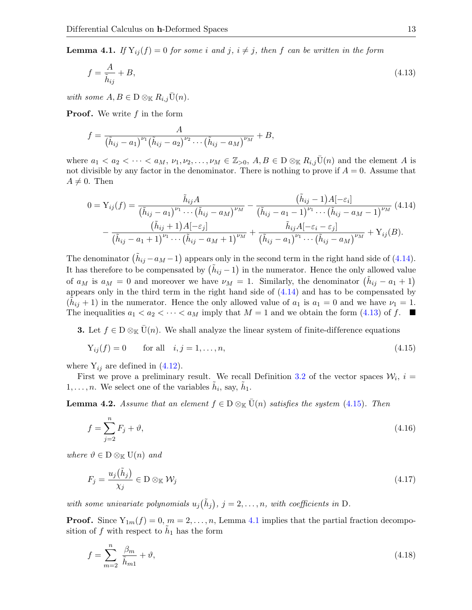<span id="page-12-3"></span>**Lemma 4.1.** If  $Y_{ij}(f) = 0$  for some i and j,  $i \neq j$ , then f can be written in the form

<span id="page-12-1"></span>
$$
f = \frac{A}{\tilde{h}_{ij}} + B,\tag{4.13}
$$

with some  $A, B \in D \otimes_{\mathbb{K}} R_{i,j} \overline{U}(n)$ .

**Proof.** We write  $f$  in the form

$$
f = \frac{A}{(\tilde{h}_{ij} - a_1)^{\nu_1}(\tilde{h}_{ij} - a_2)^{\nu_2} \cdots (\tilde{h}_{ij} - a_M)^{\nu_M}} + B,
$$

where  $a_1 < a_2 < \cdots < a_M$ ,  $\nu_1, \nu_2, \ldots, \nu_M \in \mathbb{Z}_{>0}$ ,  $A, B \in D \otimes_{\mathbb{K}} R_{i,j} \overline{U}(n)$  and the element A is not divisible by any factor in the denominator. There is nothing to prove if  $A = 0$ . Assume that  $A \neq 0$ . Then

<span id="page-12-0"></span>
$$
0 = Y_{ij}(f) = \frac{\tilde{h}_{ij}A}{(\tilde{h}_{ij} - a_1)^{\nu_1} \cdots (\tilde{h}_{ij} - a_M)^{\nu_M}} - \frac{(\tilde{h}_{ij} - 1)A[-\varepsilon_i]}{(\tilde{h}_{ij} - a_1 - 1)^{\nu_1} \cdots (\tilde{h}_{ij} - a_M - 1)^{\nu_M}}
$$
(4.14)  

$$
- \frac{(\tilde{h}_{ij} + 1)A[-\varepsilon_j]}{(\tilde{h}_{ij} - a_1 + 1)^{\nu_1} \cdots (\tilde{h}_{ij} - a_M + 1)^{\nu_M}} + \frac{\tilde{h}_{ij}A[-\varepsilon_i - \varepsilon_j]}{(\tilde{h}_{ij} - a_1)^{\nu_1} \cdots (\tilde{h}_{ij} - a_M)^{\nu_M}} + Y_{ij}(B).
$$

The denominator  $(\tilde{h}_{ij} - a_M - 1)$  appears only in the second term in the right hand side of [\(4.14\)](#page-12-0). It has therefore to be compensated by  $(\tilde{h}_{ij} - 1)$  in the numerator. Hence the only allowed value of  $a_M$  is  $a_M = 0$  and moreover we have  $\nu_M = 1$ . Similarly, the denominator  $(\tilde{h}_{ij} - a_1 + 1)$ appears only in the third term in the right hand side of [\(4.14\)](#page-12-0) and has to be compensated by  $(\tilde{h}_{ij} + 1)$  in the numerator. Hence the only allowed value of  $a_1$  is  $a_1 = 0$  and we have  $\nu_1 = 1$ . The inequalities  $a_1 < a_2 < \cdots < a_M$  imply that  $M = 1$  and we obtain the form [\(4.13\)](#page-12-1) of f.  $\blacksquare$ 

**3.** Let  $f \in D \otimes_{\mathbb{K}} \overline{U}(n)$ . We shall analyze the linear system of finite-difference equations

<span id="page-12-2"></span>
$$
Y_{ij}(f) = 0 \qquad \text{for all} \quad i, j = 1, \dots, n,\tag{4.15}
$$

where  $Y_{ij}$  are defined in [\(4.12\)](#page-11-2).

First we prove a preliminary result. We recall Definition [3.2](#page-6-3) of the vector spaces  $W_i$ ,  $i =$  $1, \ldots, n$ . We select one of the variables  $\tilde{h}_i$ , say,  $\tilde{h}_1$ .

<span id="page-12-7"></span>**Lemma 4.2.** Assume that an element  $f \in D \otimes_{\mathbb{K}} \overline{U}(n)$  satisfies the system [\(4.15\)](#page-12-2). Then

<span id="page-12-5"></span>
$$
f = \sum_{j=2}^{n} F_j + \vartheta,\tag{4.16}
$$

where  $\vartheta \in D \otimes_{\mathbb{K}} U(n)$  and

<span id="page-12-6"></span>
$$
F_j = \frac{u_j(\tilde{h}_j)}{\chi_j} \in \mathcal{D} \otimes_{\mathbb{K}} \mathcal{W}_j \tag{4.17}
$$

with some univariate polynomials  $u_j(\tilde{h}_j)$ ,  $j = 2, \ldots, n$ , with coefficients in D.

**Proof.** Since  $Y_{1m}(f) = 0, m = 2, ..., n$ , Lemma [4.1](#page-12-3) implies that the partial fraction decomposition of f with respect to  $\tilde{h}_1$  has the form

<span id="page-12-4"></span>
$$
f = \sum_{m=2}^{n} \frac{\beta_m}{\tilde{h}_{m1}} + \vartheta,\tag{4.18}
$$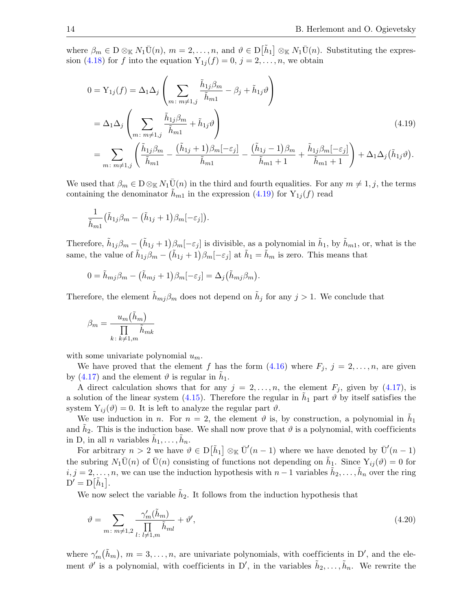where  $\beta_m \in D \otimes_{\mathbb{K}} N_1 \overline{U}(n)$ ,  $m = 2, \ldots, n$ , and  $\vartheta \in D[\tilde{h}_1] \otimes_{\mathbb{K}} N_1 \overline{U}(n)$ . Substituting the expres-sion [\(4.18\)](#page-12-4) for f into the equation  $Y_{1j}(f) = 0, j = 2, \ldots, n$ , we obtain

<span id="page-13-0"></span>
$$
0 = Y_{1j}(f) = \Delta_1 \Delta_j \left( \sum_{m \colon m \neq 1, j} \frac{\tilde{h}_{1j}\beta_m}{\tilde{h}_{m1}} - \beta_j + \tilde{h}_{1j}\vartheta \right)
$$
  
=  $\Delta_1 \Delta_j \left( \sum_{m \colon m \neq 1, j} \frac{\tilde{h}_{1j}\beta_m}{\tilde{h}_{m1}} + \tilde{h}_{1j}\vartheta \right)$   
=  $\sum_{m \colon m \neq 1, j} \left( \frac{\tilde{h}_{1j}\beta_m}{\tilde{h}_{m1}} - \frac{(\tilde{h}_{1j} + 1)\beta_m[-\varepsilon_j]}{\tilde{h}_{m1}} - \frac{(\tilde{h}_{1j} - 1)\beta_m}{\tilde{h}_{m1} + 1} + \frac{\tilde{h}_{1j}\beta_m[-\varepsilon_j]}{\tilde{h}_{m1} + 1} \right) + \Delta_1 \Delta_j (\tilde{h}_{1j}\vartheta). \tag{4.19}$ 

We used that  $\beta_m \in D \otimes_{\mathbb{K}} N_1 \overline{U}(n)$  in the third and fourth equalities. For any  $m \neq 1, j$ , the terms containing the denominator  $h_{m1}$  in the expression [\(4.19\)](#page-13-0) for  $Y_{1j}(f)$  read

$$
\frac{1}{\tilde{h}_{m1}}(\tilde{h}_{1j}\beta_{m}-(\tilde{h}_{1j}+1)\beta_{m}[-\varepsilon_{j}]).
$$

Therefore,  $\tilde{h}_{1j}\beta_m - (\tilde{h}_{1j}+1)\beta_m[-\epsilon_j]$  is divisible, as a polynomial in  $\tilde{h}_1$ , by  $\tilde{h}_{m1}$ , or, what is the same, the value of  $\tilde{h}_{1j}\beta_m - (\tilde{h}_{1j}+1)\beta_m[-\epsilon_j]$  at  $\tilde{h}_1 = \tilde{h}_m$  is zero. This means that

$$
0 = \tilde{h}_{mj}\beta_m - (\tilde{h}_{mj} + 1)\beta_m[-\varepsilon_j] = \Delta_j(\tilde{h}_{mj}\beta_m).
$$

Therefore, the element  $\tilde{h}_{mj}\beta_m$  does not depend on  $\tilde{h}_j$  for any  $j>1$ . We conclude that

$$
\beta_m = \frac{u_m(\tilde{h}_m)}{\prod\limits_{k\colon k \neq 1,m} \tilde{h}_{mk}}
$$

with some univariate polynomial  $u_m$ .

We have proved that the element f has the form  $(4.16)$  where  $F_j$ ,  $j = 2, \ldots, n$ , are given by [\(4.17\)](#page-12-6) and the element  $\vartheta$  is regular in  $\tilde{h}_1$ .

A direct calculation shows that for any  $j = 2, \ldots, n$ , the element  $F_j$ , given by [\(4.17\)](#page-12-6), is a solution of the linear system [\(4.15\)](#page-12-2). Therefore the regular in  $\tilde{h}_1$  part  $\vartheta$  by itself satisfies the system  $Y_{ij}(\vartheta) = 0$ . It is left to analyze the regular part  $\vartheta$ .

We use induction in n. For  $n = 2$ , the element  $\vartheta$  is, by construction, a polynomial in  $\tilde{h}_1$ and  $\tilde{h}_2$ . This is the induction base. We shall now prove that  $\vartheta$  is a polynomial, with coefficients in D, in all *n* variables  $\tilde{h}_1, \ldots, \tilde{h}_n$ .

For arbitrary  $n > 2$  we have  $\vartheta \in D[\tilde{h}_1] \otimes_{\mathbb{K}} \overline{U}'(n-1)$  where we have denoted by  $\overline{U}'(n-1)$ the subring  $N_1\overline{U}(n)$  of  $\overline{U}(n)$  consisting of functions not depending on  $\tilde{h}_1$ . Since  $Y_{ij}(\vartheta)=0$  for  $i, j = 2, \ldots, n$ , we can use the induction hypothesis with  $n-1$  variables  $\tilde{h}_2, \ldots, \tilde{h}_n$  over the ring  $D' = D[\tilde{h}_1].$ 

We now select the variable  $\tilde{h}_2$ . It follows from the induction hypothesis that

<span id="page-13-1"></span>
$$
\vartheta = \sum_{m \colon m \neq 1,2} \frac{\gamma'_m(\tilde{h}_m)}{\prod\limits_{l \colon l \neq 1,m} \tilde{h}_{ml}} + \vartheta',\tag{4.20}
$$

where  $\gamma'_m(\tilde{h}_m)$ ,  $m=3,\ldots,n$ , are univariate polynomials, with coefficients in D', and the element  $\vartheta'$  is a polynomial, with coefficients in D', in the variables  $\tilde{h}_2, \ldots, \tilde{h}_n$ . We rewrite the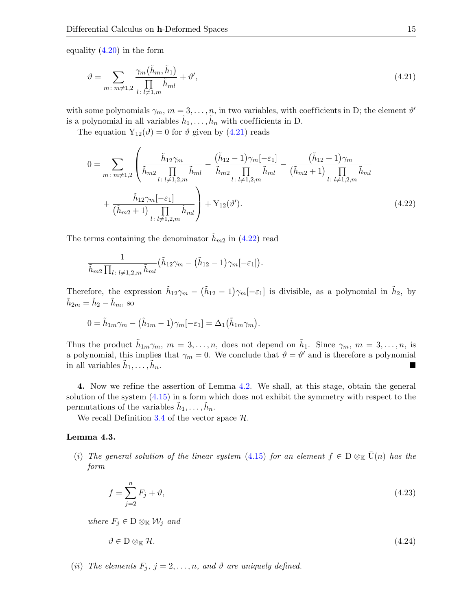equality [\(4.20\)](#page-13-1) in the form

<span id="page-14-0"></span>
$$
\vartheta = \sum_{m \colon m \neq 1,2} \frac{\gamma_m(\tilde{h}_m, \tilde{h}_1)}{\prod\limits_{l \colon l \neq 1,m} \tilde{h}_{ml}} + \vartheta',\tag{4.21}
$$

with some polynomials  $\gamma_m$ ,  $m = 3, \ldots, n$ , in two variables, with coefficients in D; the element  $\vartheta'$ is a polynomial in all variables  $\tilde{h}_1, \ldots, \tilde{h}_n$  with coefficients in D.

The equation  $Y_{12}(\vartheta) = 0$  for  $\vartheta$  given by [\(4.21\)](#page-14-0) reads

$$
0 = \sum_{m:\,m\neq 1,2} \left( \frac{\tilde{h}_{12}\gamma_m}{\tilde{h}_{m2} \prod_{l:\,l\neq 1,2,m} \tilde{h}_{ml}} - \frac{(\tilde{h}_{12}-1)\gamma_m[-\varepsilon_1]}{\tilde{h}_{m2} \prod_{l:\,l\neq 1,2,m} \tilde{h}_{ml}} - \frac{(\tilde{h}_{12}+1)\gamma_m}{(\tilde{h}_{m2}+1) \prod_{l:\,l\neq 1,2,m} \tilde{h}_{ml}} + \frac{\tilde{h}_{12}\gamma_m[-\varepsilon_1]}{(\tilde{h}_{m2}+1) \prod_{l:\,l\neq 1,2,m} \tilde{h}_{ml}} + Y_{12}(\vartheta').
$$
\n(4.22)

The terms containing the denominator  $\tilde{h}_{m2}$  in [\(4.22\)](#page-14-1) read

<span id="page-14-1"></span>
$$
\frac{1}{\tilde{h}_{m2}\prod_{l\colon l\neq 1,2,m}\tilde{h}_{ml}}(\tilde{h}_{12}\gamma_m-(\tilde{h}_{12}-1)\gamma_m[-\varepsilon_1]).
$$

Therefore, the expression  $\tilde{h}_{12}\gamma_m - (\tilde{h}_{12} - 1)\gamma_m[-\epsilon_1]$  is divisible, as a polynomial in  $\tilde{h}_2$ , by  $\tilde{h}_{2m} = \tilde{h}_2 - \tilde{h}_m$ , so

$$
0 = \tilde{h}_{1m}\gamma_m - (\tilde{h}_{1m} - 1)\gamma_m[-\varepsilon_1] = \Delta_1(\tilde{h}_{1m}\gamma_m).
$$

Thus the product  $\tilde{h}_{1m}\gamma_m$ ,  $m=3,\ldots,n$ , does not depend on  $\tilde{h}_1$ . Since  $\gamma_m$ ,  $m=3,\ldots,n$ , is a polynomial, this implies that  $\gamma_m = 0$ . We conclude that  $\vartheta = \vartheta'$  and is therefore a polynomial in all variables  $\tilde{h}_1, \ldots, \tilde{h}$ n.

4. Now we refine the assertion of Lemma [4.2.](#page-12-7) We shall, at this stage, obtain the general solution of the system  $(4.15)$  in a form which does not exhibit the symmetry with respect to the permutations of the variables  $\tilde{h}_1, \ldots, \tilde{h}_n$ .

We recall Definition [3.4](#page-6-4) of the vector space  $H$ .

#### <span id="page-14-4"></span>Lemma 4.3.

(i) The general solution of the linear system [\(4.15\)](#page-12-2) for an element  $f \in D \otimes_{\mathbb{K}} \overline{U}(n)$  has the form

<span id="page-14-2"></span>
$$
f = \sum_{j=2}^{n} F_j + \vartheta,\tag{4.23}
$$

where  $F_j \in D \otimes_{\mathbb{K}} \mathcal{W}_j$  and

<span id="page-14-3"></span>
$$
\vartheta \in D \otimes_{\mathbb{K}} \mathcal{H}.\tag{4.24}
$$

(ii) The elements  $F_j$ ,  $j = 2, \ldots, n$ , and  $\vartheta$  are uniquely defined.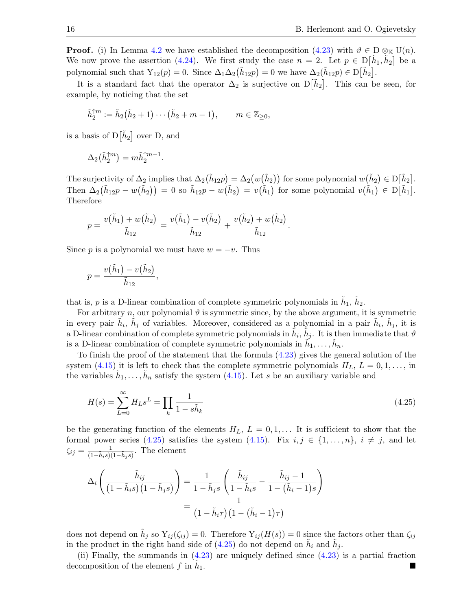**Proof.** (i) In Lemma [4.2](#page-12-7) we have established the decomposition [\(4.23\)](#page-14-2) with  $\vartheta \in D \otimes_{\mathbb{K}} U(n)$ . We now prove the assertion [\(4.24\)](#page-14-3). We first study the case  $n = 2$ . Let  $p \in D[\tilde{h}_1, \tilde{h}_2]$  be a polynomial such that  $Y_{12}(p) = 0$ . Since  $\Delta_1 \Delta_2(\tilde{h}_{12}p) = 0$  we have  $\Delta_2(\tilde{h}_{12}p) \in D[\tilde{h}_2]$ .

It is a standard fact that the operator  $\Delta_2$  is surjective on  $D[\tilde{h}_2]$ . This can be seen, for example, by noticing that the set

$$
\tilde{h}_2^{\uparrow m} := \tilde{h}_2(\tilde{h}_2 + 1) \cdots (\tilde{h}_2 + m - 1), \qquad m \in \mathbb{Z}_{\geq 0},
$$

is a basis of  $D[\tilde{h}_2]$  over D, and

$$
\Delta_2\bigl(\tilde{h}_2^{\uparrow m}\bigr)=m\tilde{h}_2^{\uparrow m-1}.
$$

The surjectivity of  $\Delta_2$  implies that  $\Delta_2(\tilde{h}_{12}p) = \Delta_2(w(\tilde{h}_2))$  for some polynomial  $w(\tilde{h}_2) \in D[\tilde{h}_2]$ . Then  $\Delta_2(\tilde{h}_{12}p - w(\tilde{h}_2)) = 0$  so  $\tilde{h}_{12}p - w(\tilde{h}_2) = v(\tilde{h}_1)$  for some polynomial  $v(\tilde{h}_1) \in D[\tilde{h}_1]$ . Therefore

<span id="page-15-0"></span>.

$$
p = \frac{v(\tilde{h}_1) + w(\tilde{h}_2)}{\tilde{h}_{12}} = \frac{v(\tilde{h}_1) - v(\tilde{h}_2)}{\tilde{h}_{12}} + \frac{v(\tilde{h}_2) + w(\tilde{h}_2)}{\tilde{h}_{12}}
$$

Since p is a polynomial we must have  $w = -v$ . Thus

,

$$
p = \frac{v(\tilde{h}_1) - v(\tilde{h}_2)}{\tilde{h}_{12}}
$$

that is, p is a D-linear combination of complete symmetric polynomials in  $\tilde{h}_1$ ,  $\tilde{h}_2$ .

For arbitrary n, our polynomial  $\vartheta$  is symmetric since, by the above argument, it is symmetric in every pair  $\tilde{h}_i$ ,  $\tilde{h}_j$  of variables. Moreover, considered as a polynomial in a pair  $\tilde{h}_i$ ,  $\tilde{h}_j$ , it is a D-linear combination of complete symmetric polynomials in  $\tilde{h}_i$ ,  $\tilde{h}_j$ . It is then immediate that  $\vartheta$ is a D-linear combination of complete symmetric polynomials in  $\tilde{h}_1, \ldots, \tilde{h}_n$ .

To finish the proof of the statement that the formula [\(4.23\)](#page-14-2) gives the general solution of the system [\(4.15\)](#page-12-2) it is left to check that the complete symmetric polynomials  $H_L$ ,  $L = 0, 1, \ldots$ , in the variables  $\tilde{h}_1, \ldots, \tilde{h}_n$  satisfy the system [\(4.15\)](#page-12-2). Let s be an auxiliary variable and

$$
H(s) = \sum_{L=0}^{\infty} H_L s^L = \prod_k \frac{1}{1 - s\tilde{h}_k}
$$
\n(4.25)

be the generating function of the elements  $H_L$ ,  $L = 0, 1, \ldots$  It is sufficient to show that the formal power series [\(4.25\)](#page-15-0) satisfies the system [\(4.15\)](#page-12-2). Fix  $i, j \in \{1, ..., n\}$ ,  $i \neq j$ , and let  $\zeta_{ij} = \frac{1}{(1-\tilde{h}_{i}s)(1-\tilde{h}_{j}s)}$ . The element

$$
\Delta_i \left( \frac{\tilde{h}_{ij}}{\left(1 - \tilde{h}_i s\right)\left(1 - \tilde{h}_j s\right)} \right) = \frac{1}{1 - \tilde{h}_j s} \left( \frac{\tilde{h}_{ij}}{1 - \tilde{h}_i s} - \frac{\tilde{h}_{ij} - 1}{1 - (\tilde{h}_i - 1)s} \right)
$$

$$
= \frac{1}{\left(1 - \tilde{h}_i \tau\right)\left(1 - (\tilde{h}_i - 1)\tau\right)}
$$

does not depend on  $\tilde{h}_j$  so  $Y_{ij}(\zeta_{ij}) = 0$ . Therefore  $Y_{ij}(H(s)) = 0$  since the factors other than  $\zeta_{ij}$ in the product in the right hand side of [\(4.25\)](#page-15-0) do not depend on  $\tilde{h}_i$  and  $\tilde{h}_j$ .

(ii) Finally, the summands in  $(4.23)$  are uniquely defined since  $(4.23)$  is a partial fraction decomposition of the element  $f$  in  $h_1$ . <sup>1</sup>.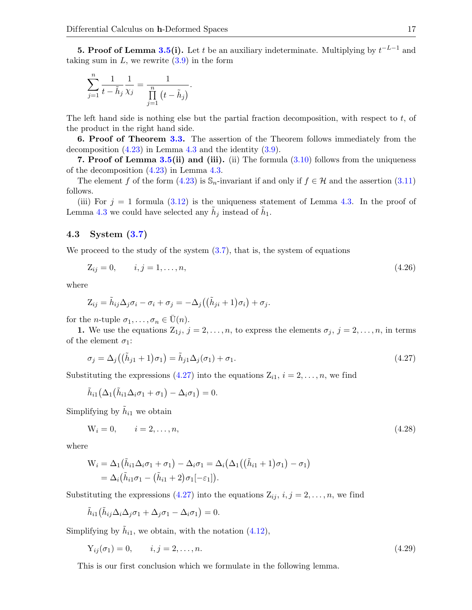**5. Proof of Lemma [3.5\(](#page-6-1)i).** Let t be an auxiliary indeterminate. Multiplying by  $t^{-L-1}$  and taking sum in  $L$ , we rewrite  $(3.9)$  in the form

$$
\sum_{j=1}^{n} \frac{1}{t - \tilde{h}_j} \frac{1}{\chi_j} = \frac{1}{\prod_{j=1}^{n} (t - \tilde{h}_j)}.
$$

The left hand side is nothing else but the partial fraction decomposition, with respect to  $t$ , of the product in the right hand side.

6. Proof of Theorem [3.3.](#page-6-2) The assertion of the Theorem follows immediately from the decomposition  $(4.23)$  in Lemma [4.3](#page-14-4) and the identity  $(3.9)$ .

7. Proof of Lemma [3.5\(](#page-6-1)ii) and (iii). (ii) The formula  $(3.10)$  follows from the uniqueness of the decomposition [\(4.23\)](#page-14-2) in Lemma [4.3.](#page-14-4)

The element f of the form [\(4.23\)](#page-14-2) is  $\mathbb{S}_n$ -invariant if and only if  $f \in \mathcal{H}$  and the assertion [\(3.11\)](#page-6-7) follows.

(iii) For  $j = 1$  formula [\(3.12\)](#page-6-8) is the uniqueness statement of Lemma [4.3.](#page-14-4) In the proof of Lemma [4.3](#page-14-4) we could have selected any  $\tilde{h}_j$  instead of  $\tilde{h}_1$ .

# 4.3 System [\(3.7\)](#page-5-2)

We proceed to the study of the system  $(3.7)$ , that is, the system of equations

<span id="page-16-1"></span>
$$
Z_{ij} = 0, \t i, j = 1, ..., n,
$$
\t(4.26)

where

$$
Z_{ij} = \tilde{h}_{ij} \Delta_j \sigma_i - \sigma_i + \sigma_j = -\Delta_j \big( (\tilde{h}_{ji} + 1) \sigma_i \big) + \sigma_j.
$$

for the *n*-tuple  $\sigma_1, \ldots, \sigma_n \in \overline{U}(n)$ .

1. We use the equations  $Z_{1j}$ ,  $j = 2, \ldots, n$ , to express the elements  $\sigma_j$ ,  $j = 2, \ldots, n$ , in terms of the element  $\sigma_1$ :

<span id="page-16-0"></span>
$$
\sigma_j = \Delta_j((\tilde{h}_{j1} + 1)\sigma_1) = \tilde{h}_{j1}\Delta_j(\sigma_1) + \sigma_1.
$$
\n(4.27)

Substituting the expressions [\(4.27\)](#page-16-0) into the equations  $Z_{i1}$ ,  $i = 2, \ldots, n$ , we find

$$
\tilde{h}_{i1}(\Delta_1(\tilde{h}_{i1}\Delta_i\sigma_1+\sigma_1)-\Delta_i\sigma_1)=0.
$$

Simplifying by  $\tilde{h}_{i1}$  we obtain

<span id="page-16-2"></span>
$$
W_i = 0, \t i = 2, ..., n,
$$
\t(4.28)

where

$$
W_i = \Delta_1(\tilde{h}_{i1}\Delta_i\sigma_1 + \sigma_1) - \Delta_i\sigma_1 = \Delta_i(\Delta_1((\tilde{h}_{i1} + 1)\sigma_1) - \sigma_1)
$$
  
=  $\Delta_i(\tilde{h}_{i1}\sigma_1 - (\tilde{h}_{i1} + 2)\sigma_1[-\varepsilon_1]).$ 

Substituting the expressions [\(4.27\)](#page-16-0) into the equations  $Z_{ij}$ ,  $i, j = 2, \ldots, n$ , we find

$$
\tilde{h}_{i1}(\tilde{h}_{ij}\Delta_i\Delta_j\sigma_1 + \Delta_j\sigma_1 - \Delta_i\sigma_1) = 0.
$$

Simplifying by  $\tilde{h}_{i1}$ , we obtain, with the notation [\(4.12\)](#page-11-2),

<span id="page-16-3"></span>
$$
Y_{ij}(\sigma_1) = 0, \qquad i, j = 2, \dots, n. \tag{4.29}
$$

This is our first conclusion which we formulate in the following lemma.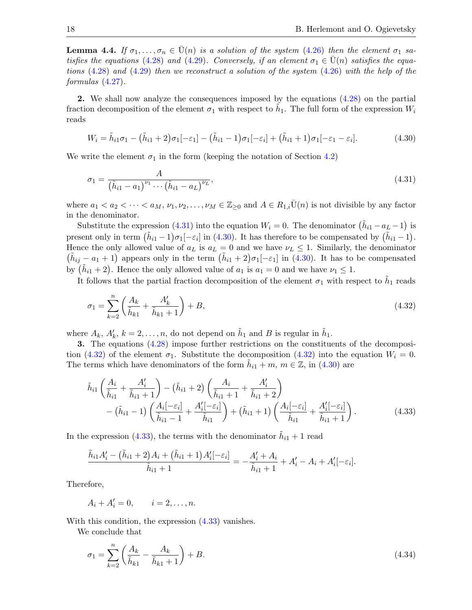**Lemma 4.4.** If  $\sigma_1, \ldots, \sigma_n \in \bar{U}(n)$  is a solution of the system [\(4.26\)](#page-16-1) then the element  $\sigma_1$  sa-tisfies the equations [\(4.28\)](#page-16-2) and [\(4.29\)](#page-16-3). Conversely, if an element  $\sigma_1 \in \bar{U}(n)$  satisfies the equations  $(4.28)$  and  $(4.29)$  then we reconstruct a solution of the system  $(4.26)$  with the help of the formulas [\(4.27\)](#page-16-0).

2. We shall now analyze the consequences imposed by the equations [\(4.28\)](#page-16-2) on the partial fraction decomposition of the element  $\sigma_1$  with respect to  $\tilde{h}_1$ . The full form of the expression  $W_i$ reads

<span id="page-17-1"></span>
$$
W_i = \tilde{h}_{i1}\sigma_1 - (\tilde{h}_{i1} + 2)\sigma_1[-\varepsilon_1] - (\tilde{h}_{i1} - 1)\sigma_1[-\varepsilon_i] + (\tilde{h}_{i1} + 1)\sigma_1[-\varepsilon_1 - \varepsilon_i].
$$
\n(4.30)

We write the element  $\sigma_1$  in the form (keeping the notation of Section [4.2\)](#page-11-0)

<span id="page-17-0"></span>
$$
\sigma_1 = \frac{A}{(\tilde{h}_{i1} - a_1)^{\nu_1} \cdots (\tilde{h}_{i1} - a_L)^{\nu_L}},\tag{4.31}
$$

where  $a_1 < a_2 < \cdots < a_M$ ,  $\nu_1, \nu_2, \ldots, \nu_M \in \mathbb{Z}_{\geq 0}$  and  $A \in R_{1,i} \overline{U}(n)$  is not divisible by any factor in the denominator.

Substitute the expression [\(4.31\)](#page-17-0) into the equation  $W_i = 0$ . The denominator  $(\tilde{h}_{i1} - a_L - 1)$  is present only in term  $(\tilde{h}_{i1}-1)\sigma_1[-\varepsilon_i]$  in [\(4.30\)](#page-17-1). It has therefore to be compensated by  $(\tilde{h}_{i1}-1)$ . Hence the only allowed value of  $a_L$  is  $a_L = 0$  and we have  $\nu_L \leq 1$ . Similarly, the denominator  $(\tilde{h}_{ij} - a_1 + 1)$  appears only in the term  $(\tilde{h}_{i1} + 2)\sigma_1[-\epsilon_1]$  in [\(4.30\)](#page-17-1). It has to be compensated by  $(\tilde{h}_{i1} + 2)$ . Hence the only allowed value of  $a_1$  is  $a_1 = 0$  and we have  $\nu_1 \leq 1$ .

It follows that the partial fraction decomposition of the element  $\sigma_1$  with respect to  $\tilde{h}_1$  reads

<span id="page-17-2"></span>
$$
\sigma_1 = \sum_{k=2}^n \left( \frac{A_k}{\tilde{h}_{k1}} + \frac{A'_k}{\tilde{h}_{k1} + 1} \right) + B,\tag{4.32}
$$

where  $A_k$ ,  $A'_k$ ,  $k = 2, ..., n$ , do not depend on  $\tilde{h}_1$  and B is regular in  $\tilde{h}_1$ .

3. The equations [\(4.28\)](#page-16-2) impose further restrictions on the constituents of the decomposi-tion [\(4.32\)](#page-17-2) of the element  $\sigma_1$ . Substitute the decomposition (4.32) into the equation  $W_i = 0$ . The terms which have denominators of the form  $\tilde{h}_{i1} + m$ ,  $m \in \mathbb{Z}$ , in [\(4.30\)](#page-17-1) are

<span id="page-17-3"></span>
$$
\tilde{h}_{i1}\left(\frac{A_{i}}{\tilde{h}_{i1}}+\frac{A'_{i}}{\tilde{h}_{i1}+1}\right)-(\tilde{h}_{i1}+2)\left(\frac{A_{i}}{\tilde{h}_{i1}+1}+\frac{A'_{i}}{\tilde{h}_{i1}+2}\right) -\left(\tilde{h}_{i1}-1\right)\left(\frac{A_{i}[-\varepsilon_{i}]}{\tilde{h}_{i1}-1}+\frac{A'_{i}[-\varepsilon_{i}]}{\tilde{h}_{i1}}\right)+\left(\tilde{h}_{i1}+1\right)\left(\frac{A_{i}[-\varepsilon_{i}]}{\tilde{h}_{i1}}+\frac{A'_{i}[-\varepsilon_{i}]}{\tilde{h}_{i1}+1}\right).
$$
\n(4.33)

In the expression [\(4.33\)](#page-17-3), the terms with the denominator  $\tilde{h}_{i1} + 1$  read

$$
\frac{\tilde{h}_{i1}A'_{i} - (\tilde{h}_{i1} + 2)A_{i} + (\tilde{h}_{i1} + 1)A'_{i}[-\varepsilon_{i}]}{\tilde{h}_{i1} + 1} = -\frac{A'_{i} + A_{i}}{\tilde{h}_{i1} + 1} + A'_{i} - A_{i} + A'_{i}[-\varepsilon_{i}].
$$

Therefore,

 $A_i + A'_i = 0, \qquad i = 2, \ldots, n.$ 

With this condition, the expression [\(4.33\)](#page-17-3) vanishes.

We conclude that

<span id="page-17-4"></span>
$$
\sigma_1 = \sum_{k=2}^n \left( \frac{A_k}{\tilde{h}_{k1}} - \frac{A_k}{\tilde{h}_{k1} + 1} \right) + B. \tag{4.34}
$$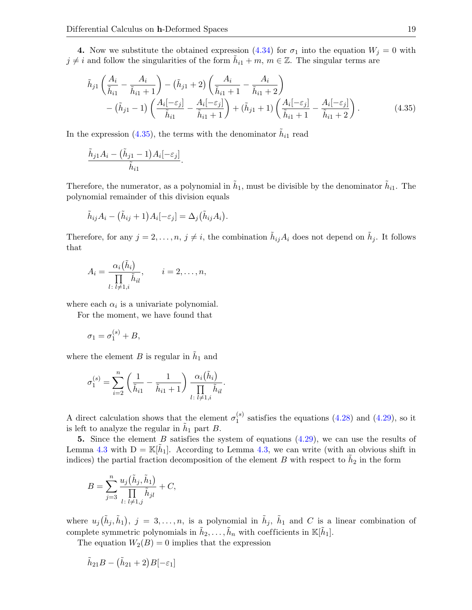4. Now we substitute the obtained expression [\(4.34\)](#page-17-4) for  $\sigma_1$  into the equation  $W_j = 0$  with  $j \neq i$  and follow the singularities of the form  $\tilde{h}_{i1} + m$ ,  $m \in \mathbb{Z}$ . The singular terms are

$$
\tilde{h}_{j1}\left(\frac{A_i}{\tilde{h}_{i1}} - \frac{A_i}{\tilde{h}_{i1}+1}\right) - (\tilde{h}_{j1}+2)\left(\frac{A_i}{\tilde{h}_{i1}+1} - \frac{A_i}{\tilde{h}_{i1}+2}\right) \n- (\tilde{h}_{j1}-1)\left(\frac{A_i[-\varepsilon_j]}{\tilde{h}_{i1}} - \frac{A_i[-\varepsilon_j]}{\tilde{h}_{i1}+1}\right) + (\tilde{h}_{j1}+1)\left(\frac{A_i[-\varepsilon_j]}{\tilde{h}_{i1}+1} - \frac{A_i[-\varepsilon_j]}{\tilde{h}_{i1}+2}\right).
$$
\n(4.35)

In the expression [\(4.35\)](#page-18-0), the terms with the denominator  $\tilde{h}_{i1}$  read

<span id="page-18-0"></span>.

$$
\frac{\tilde{h}_{j1}A_i - (\tilde{h}_{j1} - 1)A_i[-\varepsilon_j]}{\tilde{h}_{i1}}
$$

Therefore, the numerator, as a polynomial in  $\tilde{h}_1$ , must be divisible by the denominator  $\tilde{h}_{i1}$ . The polynomial remainder of this division equals

$$
\tilde{h}_{ij}A_i - (\tilde{h}_{ij} + 1)A_i[-\varepsilon_j] = \Delta_j(\tilde{h}_{ij}A_i).
$$

Therefore, for any  $j = 2, \ldots, n, j \neq i$ , the combination  $\tilde{h}_{ij} A_i$  does not depend on  $\tilde{h}_j$ . It follows that

$$
A_i = \frac{\alpha_i(\tilde{h}_i)}{\prod\limits_{l\colon l\neq 1,i}\tilde{h}_{il}}, \qquad i=2,\ldots,n,
$$

where each  $\alpha_i$  is a univariate polynomial.

For the moment, we have found that

$$
\sigma_1 = \sigma_1^{(s)} + B,
$$

where the element  $B$  is regular in  $\tilde{h}_1$  and

$$
\sigma_1^{(s)} = \sum_{i=2}^n \left( \frac{1}{\tilde{h}_{i1}} - \frac{1}{\tilde{h}_{i1} + 1} \right) \frac{\alpha_i(\tilde{h}_i)}{\prod_{l \colon l \neq 1, i} \tilde{h}_{il}}.
$$

A direct calculation shows that the element  $\sigma_1^{(s)}$  $_1^{(8)}$  satisfies the equations  $(4.28)$  and  $(4.29)$ , so it is left to analyze the regular in  $\tilde{h}_1$  part B.

5. Since the element B satisfies the system of equations  $(4.29)$ , we can use the results of Lemma [4.3](#page-14-4) with  $D = \mathbb{K}[\tilde{h}_1]$ . According to Lemma [4.3,](#page-14-4) we can write (with an obvious shift in indices) the partial fraction decomposition of the element B with respect to  $\tilde{h}_2$  in the form

$$
B = \sum_{j=3}^{n} \frac{u_j(\tilde{h}_j, \tilde{h}_1)}{\prod_{l \colon l \neq 1, j} \tilde{h}_{jl}} + C,
$$

where  $u_j(\tilde{h}_j, \tilde{h}_1), j = 3, \ldots, n$ , is a polynomial in  $\tilde{h}_j$ ,  $\tilde{h}_1$  and C is a linear combination of complete symmetric polynomials in  $\tilde{h}_2, \ldots, \tilde{h}_n$  with coefficients in  $\mathbb{K}[\tilde{h}_1]$ .

The equation  $W_2(B) = 0$  implies that the expression

$$
\tilde{h}_{21}B - (\tilde{h}_{21} + 2)B[-\varepsilon_1]
$$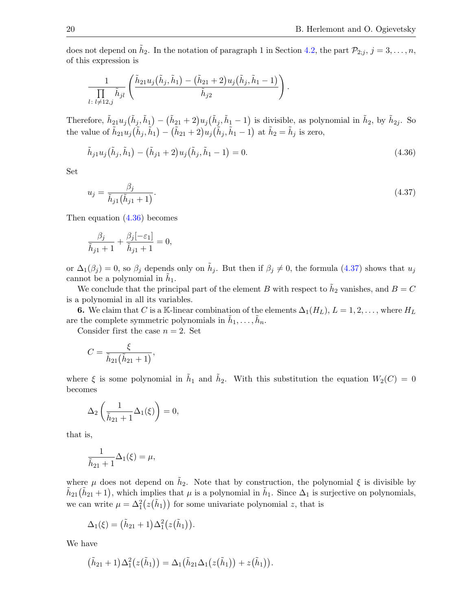does not depend on  $\tilde{h}_2$ . In the notation of paragraph 1 in Section [4.2,](#page-11-0) the part  $\mathcal{P}_{2,j}$ ,  $j=3,\ldots,n$ , of this expression is

$$
\frac{1}{\prod\limits_{l\colon l\neq 12,j}\tilde{h}_{jl}}\left(\frac{\tilde{h}_{21}u_j\big(\tilde{h}_j,\tilde{h}_1\big)-\big(\tilde{h}_{21}+2\big)u_j\big(\tilde{h}_j,\tilde{h}_1-1\big)}{\tilde{h}_{j2}}\right).
$$

Therefore,  $\tilde{h}_{21}u_j(\tilde{h}_j,\tilde{h}_1) - (\tilde{h}_{21}+2)u_j(\tilde{h}_j,\tilde{h}_1-1)$  is divisible, as polynomial in  $\tilde{h}_2$ , by  $\tilde{h}_{2j}$ . So the value of  $\tilde{h}_{21}u_j(\tilde{h}_j, \tilde{h}_1) - (\tilde{h}_{21} + 2)u_j(\tilde{h}_j, \tilde{h}_1 - 1)$  at  $\tilde{h}_2 = \tilde{h}_j$  is zero,

<span id="page-19-0"></span>
$$
\tilde{h}_{j1}u_j(\tilde{h}_j, \tilde{h}_1) - (\tilde{h}_{j1} + 2)u_j(\tilde{h}_j, \tilde{h}_1 - 1) = 0.
$$
\n(4.36)

Set

<span id="page-19-1"></span>
$$
u_j = \frac{\beta_j}{\tilde{h}_{j1}(\tilde{h}_{j1} + 1)}.\tag{4.37}
$$

Then equation [\(4.36\)](#page-19-0) becomes

$$
\frac{\beta_j}{\tilde{h}_{j1}+1} + \frac{\beta_j[-\varepsilon_1]}{\tilde{h}_{j1}+1} = 0,
$$

or  $\Delta_1(\beta_j) = 0$ , so  $\beta_j$  depends only on  $\tilde{h}_j$ . But then if  $\beta_j \neq 0$ , the formula [\(4.37\)](#page-19-1) shows that  $u_j$ cannot be a polynomial in  $\tilde{h}_1$ .

We conclude that the principal part of the element B with respect to  $\tilde{h}_2$  vanishes, and  $B = C$ is a polynomial in all its variables.

6. We claim that C is a K-linear combination of the elements  $\Delta_1(H_L)$ ,  $L = 1, 2, \ldots$ , where  $H_L$ are the complete symmetric polynomials in  $\tilde{h}_1, \ldots, \tilde{h}_n$ .

Consider first the case  $n = 2$ . Set

$$
C=\frac{\xi}{\tilde{h}_{21}(\tilde{h}_{21}+1)},
$$

where  $\xi$  is some polynomial in  $\tilde{h}_1$  and  $\tilde{h}_2$ . With this substitution the equation  $W_2(C) = 0$ becomes

$$
\Delta_2\left(\frac{1}{\tilde{h}_{21}+1}\Delta_1(\xi)\right)=0,
$$

that is,

$$
\frac{1}{\tilde{h}_{21}+1}\Delta_1(\xi)=\mu,
$$

where  $\mu$  does not depend on  $\tilde{h}_2$ . Note that by construction, the polynomial  $\xi$  is divisible by  $\tilde{h}_{21}(\tilde{h}_{21}+1)$ , which implies that  $\mu$  is a polynomial in  $\tilde{h}_1$ . Since  $\Delta_1$  is surjective on polynomials, we can write  $\mu = \Delta_1^2(z(\tilde{h}_1))$  for some univariate polynomial z, that is

$$
\Delta_1(\xi) = (\tilde{h}_{21}+1)\Delta_1^2(z(\tilde{h}_1)).
$$

We have

$$
(\tilde{h}_{21}+1)\Delta_1^2(z(\tilde{h}_1))=\Delta_1(\tilde{h}_{21}\Delta_1(z(\tilde{h}_1))+z(\tilde{h}_1)).
$$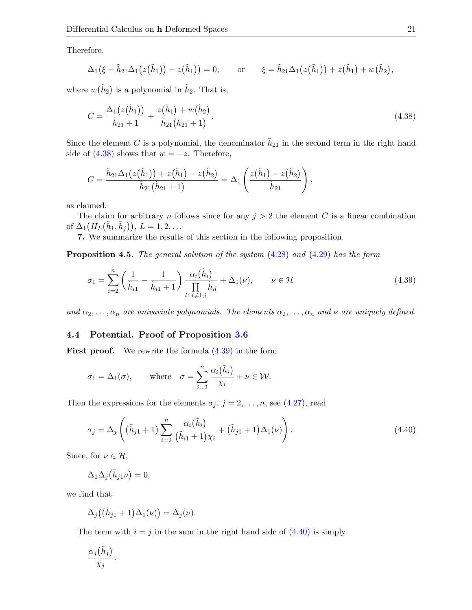Therefore,

$$
\Delta_1(\xi - \tilde{h}_{21}\Delta_1(z(\tilde{h}_1)) - z(\tilde{h}_1)) = 0, \quad \text{or} \quad \xi = \tilde{h}_{21}\Delta_1(z(\tilde{h}_1)) + z(\tilde{h}_1) + w(\tilde{h}_2),
$$

where  $w(\tilde{h}_2)$  is a polynomial in  $\tilde{h}_2$ . That is,

<span id="page-20-1"></span>
$$
C = \frac{\Delta_1(z(\tilde{h}_1))}{\tilde{h}_{21} + 1} + \frac{z(\tilde{h}_1) + w(\tilde{h}_2)}{\tilde{h}_{21}(\tilde{h}_{21} + 1)}.
$$
\n(4.38)

Since the element C is a polynomial, the denominator  $\tilde{h}_{21}$  in the second term in the right hand side of  $(4.38)$  shows that  $w = -z$ . Therefore,

$$
C = \frac{\tilde{h}_{21}\Delta_1(z(\tilde{h}_1)) + z(\tilde{h}_1) - z(\tilde{h}_2)}{\tilde{h}_{21}(\tilde{h}_{21} + 1)} = \Delta_1\left(\frac{z(\tilde{h}_1) - z(\tilde{h}_2)}{\tilde{h}_{21}}\right),
$$

as claimed.

The claim for arbitrary n follows since for any  $j > 2$  the element C is a linear combination of  $\Delta_1(H_L(\tilde{h}_1, \tilde{h}_j)), L = 1, 2, \ldots$ 

7. We summarize the results of this section in the following proposition.

**Proposition 4.5.** The general solution of the system  $(4.28)$  and  $(4.29)$  has the form

<span id="page-20-2"></span>
$$
\sigma_1 = \sum_{i=2}^n \left( \frac{1}{\tilde{h}_{i1}} - \frac{1}{\tilde{h}_{i1} + 1} \right) \frac{\alpha_i(\tilde{h}_i)}{\prod\limits_{l \colon l \neq 1, i} \tilde{h}_{il}} + \Delta_1(\nu), \qquad \nu \in \mathcal{H}
$$
\n(4.39)

and  $\alpha_2, \ldots, \alpha_n$  are univariate polynomials. The elements  $\alpha_2, \ldots, \alpha_n$  and  $\nu$  are uniquely defined.

# <span id="page-20-0"></span>4.4 Potential. Proof of Proposition [3.6](#page-7-0)

**First proof.** We rewrite the formula  $(4.39)$  in the form

$$
\sigma_1 = \Delta_1(\sigma)
$$
, where  $\sigma = \sum_{i=2}^n \frac{\alpha_i(\tilde{h}_i)}{\chi_i} + \nu \in \mathcal{W}$ .

Then the expressions for the elements  $\sigma_j$ ,  $j = 2, \ldots, n$ , see [\(4.27\)](#page-16-0), read

<span id="page-20-3"></span>
$$
\sigma_j = \Delta_j \left( (\tilde{h}_{j1} + 1) \sum_{i=2}^n \frac{\alpha_i (\tilde{h}_i)}{(\tilde{h}_{i1} + 1) \chi_i} + (\tilde{h}_{j1} + 1) \Delta_1(\nu) \right).
$$
\n(4.40)

Since, for  $\nu \in \mathcal{H}$ ,

$$
\Delta_1 \Delta_j(\tilde{h}_{j1}\nu) = 0,
$$

we find that

$$
\Delta_j((\tilde{h}_{j1}+1)\Delta_1(\nu))=\Delta_j(\nu).
$$

The term with  $i = j$  in the sum in the right hand side of  $(4.40)$  is simply

$$
\frac{\alpha_j(\tilde{h}_j)}{\chi_j}.
$$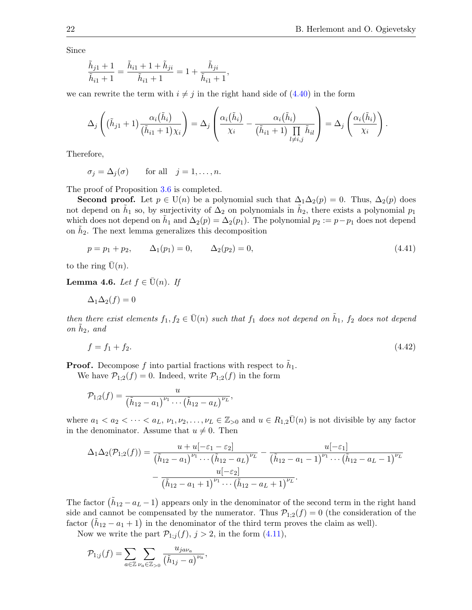Since

$$
\frac{\tilde{h}_{j1} + 1}{\tilde{h}_{i1} + 1} = \frac{\tilde{h}_{i1} + 1 + \tilde{h}_{ji}}{\tilde{h}_{i1} + 1} = 1 + \frac{\tilde{h}_{ji}}{\tilde{h}_{i1} + 1},
$$

we can rewrite the term with  $i \neq j$  in the right hand side of [\(4.40\)](#page-20-3) in the form

$$
\Delta_j\left((\tilde{h}_{j1}+1)\frac{\alpha_i(\tilde{h}_i)}{(\tilde{h}_{i1}+1)\chi_i}\right)=\Delta_j\left(\frac{\alpha_i(\tilde{h}_i)}{\chi_i}-\frac{\alpha_i(\tilde{h}_i)}{(\tilde{h}_{i1}+1)\prod\limits_{l\neq i,j}\tilde{h}_{il}}\right)=\Delta_j\left(\frac{\alpha_i(\tilde{h}_i)}{\chi_i}\right).
$$

Therefore,

 $\sigma_j = \Delta_j(\sigma)$  for all  $j = 1, \ldots, n$ .

The proof of Proposition [3.6](#page-7-0) is completed.

Second proof. Let  $p \in U(n)$  be a polynomial such that  $\Delta_1 \Delta_2(p) = 0$ . Thus,  $\Delta_2(p)$  does not depend on  $\tilde{h}_1$  so, by surjectivity of  $\Delta_2$  on polynomials in  $\tilde{h}_2$ , there exists a polynomial  $p_1$ which does not depend on  $\tilde{h}_1$  and  $\Delta_2(p) = \Delta_2(p_1)$ . The polynomial  $p_2 := p - p_1$  does not depend on  $\tilde{h}_2$ . The next lemma generalizes this decomposition

<span id="page-21-0"></span>
$$
p = p_1 + p_2, \qquad \Delta_1(p_1) = 0, \qquad \Delta_2(p_2) = 0,\tag{4.41}
$$

to the ring  $\bar{U}(n)$ .

<span id="page-21-2"></span>**Lemma 4.6.** Let  $f \in \overline{U}(n)$ . If

$$
\Delta_1 \Delta_2(f) = 0
$$

then there exist elements  $f_1, f_2 \in \overline{U}(n)$  such that  $f_1$  does not depend on  $\tilde{h}_1$ ,  $f_2$  does not depend on  $\tilde{h}_2$ , and

<span id="page-21-1"></span>
$$
f = f_1 + f_2. \tag{4.42}
$$

**Proof.** Decompose f into partial fractions with respect to  $\tilde{h}_1$ .

We have  $\mathcal{P}_{1,2}(f) = 0$ . Indeed, write  $\mathcal{P}_{1,2}(f)$  in the form

$$
\mathcal{P}_{1;2}(f) = \frac{u}{(\tilde{h}_{12} - a_1)^{\nu_1} \cdots (\tilde{h}_{12} - a_L)^{\nu_L}},
$$

where  $a_1 < a_2 < \cdots < a_L$ ,  $\nu_1, \nu_2, \ldots, \nu_L \in \mathbb{Z}_{\geq 0}$  and  $u \in R_{1,2} \overline{U}(n)$  is not divisible by any factor in the denominator. Assume that  $u \neq 0$ . Then

$$
\Delta_1 \Delta_2(\mathcal{P}_{1;2}(f)) = \frac{u + u[-\varepsilon_1 - \varepsilon_2]}{(\tilde{h}_{12} - a_1)^{\nu_1} \cdots (\tilde{h}_{12} - a_L)^{\nu_L}} - \frac{u[-\varepsilon_1]}{(\tilde{h}_{12} - a_1 - 1)^{\nu_1} \cdots (\tilde{h}_{12} - a_L - 1)^{\nu_L}} - \frac{u[-\varepsilon_2]}{(\tilde{h}_{12} - a_1 + 1)^{\nu_1} \cdots (\tilde{h}_{12} - a_L + 1)^{\nu_L}}.
$$

The factor  $(\tilde{h}_{12} - a_L - 1)$  appears only in the denominator of the second term in the right hand side and cannot be compensated by the numerator. Thus  $\mathcal{P}_{1,2}(f) = 0$  (the consideration of the factor  $(\tilde{h}_{12} - a_1 + 1)$  in the denominator of the third term proves the claim as well).

Now we write the part  $\mathcal{P}_{1,j}(f), j > 2$ , in the form  $(4.11)$ ,

$$
\mathcal{P}_{1;j}(f) = \sum_{a \in \mathbb{Z}} \sum_{\nu_a \in \mathbb{Z}_{>0}} \frac{u_{jav_a}}{(\tilde{h}_{1j} - a)^{\nu_a}},
$$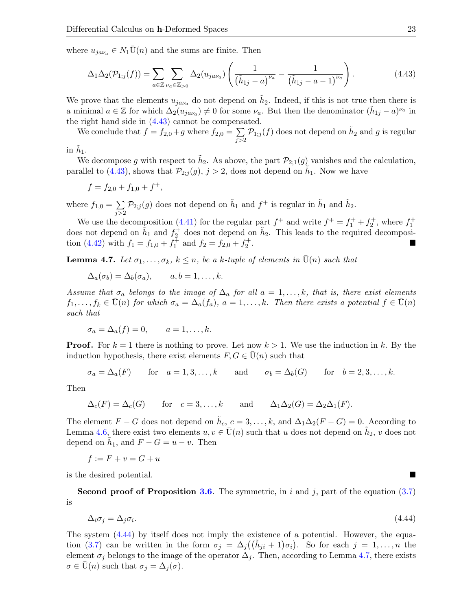where  $u_{jav_a} \in N_1\overline{U}(n)$  and the sums are finite. Then

<span id="page-22-0"></span>
$$
\Delta_1 \Delta_2(\mathcal{P}_{1;j}(f)) = \sum_{a \in \mathbb{Z}} \sum_{\nu_a \in \mathbb{Z}_{>0}} \Delta_2(u_{j a \nu_a}) \left( \frac{1}{(\tilde{h}_{1j} - a)^{\nu_a}} - \frac{1}{(\tilde{h}_{1j} - a - 1)^{\nu_a}} \right).
$$
(4.43)

We prove that the elements  $u_{j a \nu_a}$  do not depend on  $\tilde{h}_2$ . Indeed, if this is not true then there is a minimal  $a \in \mathbb{Z}$  for which  $\Delta_2(u_{jav_a}) \neq 0$  for some  $\nu_a$ . But then the denominator  $(\tilde{h}_{1j} - a)^{\nu_a}$  in the right hand side in [\(4.43\)](#page-22-0) cannot be compensated.

We conclude that  $f = f_{2,0} + g$  where  $f_{2,0} = \sum$  $j>2$  $\mathcal{P}_{1;j}(f)$  does not depend on  $\tilde{h}_2$  and  $g$  is regular

in  $\tilde{h}_1$ .

We decompose g with respect to  $\tilde{h}_2$ . As above, the part  $\mathcal{P}_{2,1}(g)$  vanishes and the calculation, parallel to [\(4.43\)](#page-22-0), shows that  $\mathcal{P}_{2,j}(g), j > 2$ , does not depend on  $\tilde{h}_1$ . Now we have

$$
f = f_{2,0} + f_{1,0} + f^+,
$$

where  $f_{1,0} = \sum$  $j>2$  $\mathcal{P}_{2;j}(g)$  does not depend on  $\tilde{h}_1$  and  $f^+$  is regular in  $\tilde{h}_1$  and  $\tilde{h}_2$ .

We use the decomposition [\(4.41\)](#page-21-0) for the regular part  $f^+$  and write  $f^+ = f_1^+ + f_2^+$ , where  $f_1^+$ does not depend on  $\tilde{h}_1$  and  $f_2^{\dagger}$  does not depend on  $\tilde{h}_2$ . This leads to the required decomposi-tion [\(4.42\)](#page-21-1) with  $f_1 = f_{1,0} + f_1^{\bar{+}}$  and  $f_2 = f_{2,0} + f_2^{\bar{+}}$ .

<span id="page-22-2"></span>**Lemma 4.7.** Let  $\sigma_1, \ldots, \sigma_k, k \leq n$ , be a k-tuple of elements in  $U(n)$  such that

$$
\Delta_a(\sigma_b) = \Delta_b(\sigma_a), \qquad a, b = 1, \dots, k.
$$

Assume that  $\sigma_a$  belongs to the image of  $\Delta_a$  for all  $a = 1, \ldots, k$ , that is, there exist elements  $f_1, \ldots, f_k \in U(n)$  for which  $\sigma_a = \Delta_a(f_a), a = 1, \ldots, k$ . Then there exists a potential  $f \in U(n)$ such that

$$
\sigma_a = \Delta_a(f) = 0, \qquad a = 1, \dots, k.
$$

**Proof.** For  $k = 1$  there is nothing to prove. Let now  $k > 1$ . We use the induction in k. By the induction hypothesis, there exist elements  $F, G \in U(n)$  such that

$$
\sigma_a = \Delta_a(F) \quad \text{for} \quad a = 1, 3, \dots, k \quad \text{and} \quad \sigma_b = \Delta_b(G) \quad \text{for} \quad b = 2, 3, \dots, k.
$$

Then

$$
\Delta_c(F) = \Delta_c(G) \quad \text{for} \quad c = 3, \dots, k \quad \text{and} \quad \Delta_1 \Delta_2(G) = \Delta_2 \Delta_1(F).
$$

The element  $F - G$  does not depend on  $\tilde{h}_c$ ,  $c = 3, \ldots, k$ , and  $\Delta_1 \Delta_2 (F - G) = 0$ . According to Lemma [4.6,](#page-21-2) there exist two elements  $u, v \in \bar{U}(n)$  such that u does not depend on  $\tilde{h}_2$ , v does not depend on  $\tilde{h}_1$ , and  $F - G = u - v$ . Then

$$
f := F + v = G + u
$$

is the desired potential.

**Second proof of Proposition [3.6](#page-7-0).** The symmetric, in i and j, part of the equation  $(3.7)$ is

<span id="page-22-1"></span>
$$
\Delta_i \sigma_j = \Delta_j \sigma_i. \tag{4.44}
$$

The system [\(4.44\)](#page-22-1) by itself does not imply the existence of a potential. However, the equa-tion [\(3.7\)](#page-5-2) can be written in the form  $\sigma_j = \Delta_j((\tilde{h}_{ji} + 1)\sigma_i)$ . So for each  $j = 1, \ldots, n$  the element  $\sigma_j$  belongs to the image of the operator  $\Delta_j$ . Then, according to Lemma [4.7,](#page-22-2) there exists  $\sigma \in U(n)$  such that  $\sigma_j = \Delta_j(\sigma)$ .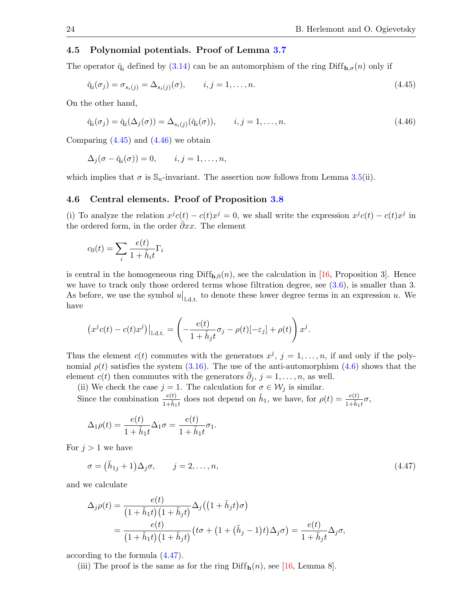# <span id="page-23-0"></span>4.5 Polynomial potentials. Proof of Lemma [3.7](#page-7-2)

The operator  $\check{q}_i$  defined by [\(3.14\)](#page-7-3) can be an automorphism of the ring  $\text{Diff}_{h,\sigma}(n)$  only if

<span id="page-23-2"></span>
$$
\check{q}_i(\sigma_j) = \sigma_{s_i(j)} = \Delta_{s_i(j)}(\sigma), \qquad i, j = 1, \dots, n. \tag{4.45}
$$

On the other hand,

<span id="page-23-3"></span>
$$
\check{q}_i(\sigma_j) = \check{q}_i(\Delta_j(\sigma)) = \Delta_{s_i(j)}(\check{q}_i(\sigma)), \qquad i, j = 1, \dots, n.
$$
\n(4.46)

Comparing  $(4.45)$  and  $(4.46)$  we obtain

$$
\Delta_j(\sigma - \breve{q}_i(\sigma)) = 0, \qquad i, j = 1, \ldots, n,
$$

which implies that  $\sigma$  is  $\mathbb{S}_n$ -invariant. The assertion now follows from Lemma [3.5\(](#page-6-1)ii).

#### <span id="page-23-1"></span>4.6 Central elements. Proof of Proposition [3.8](#page-8-3)

(i) To analyze the relation  $x^{j}c(t) - c(t)x^{j} = 0$ , we shall write the expression  $x^{j}c(t) - c(t)x^{j}$  in the ordered form, in the order  $\partial x \cdot x$ . The element

$$
c_0(t) = \sum_{i} \frac{e(t)}{1 + \tilde{h}_i t} \Gamma_i
$$

is central in the homogeneous ring  $\text{Diff}_{h,0}(n)$ , see the calculation in [\[16,](#page-27-18) Proposition 3]. Hence we have to track only those ordered terms whose filtration degree, see [\(3.6\)](#page-5-4), is smaller than 3. As before, we use the symbol  $u|_{1,d,t}$  to denote these lower degree terms in an expression u. We have

$$
(x^{j}c(t) - c(t)x^{j})|_{1, \text{d.t.}} = \left(-\frac{e(t)}{1 + \tilde{h}_{j}t}\sigma_{j} - \rho(t)[-\varepsilon_{j}] + \rho(t)\right)x^{j}.
$$

Thus the element  $c(t)$  commutes with the generators  $x^j$ ,  $j = 1, \ldots, n$ , if and only if the polynomial  $\rho(t)$  satisfies the system [\(3.16\)](#page-8-0). The use of the anti-automorphism [\(4.6\)](#page-10-6) shows that the element  $c(t)$  then commutes with the generators  $\bar{\partial}_j$ ,  $j = 1, \ldots, n$ , as well.

(ii) We check the case  $j = 1$ . The calculation for  $\sigma \in \mathcal{W}_j$  is similar.

Since the combination  $\frac{e(t)}{1+\tilde{h}_1t}$  does not depend on  $\tilde{h}_1$ , we have, for  $\rho(t) = \frac{e(t)}{1+\tilde{h}_1t}\sigma$ ,

$$
\Delta_1 \rho(t) = \frac{e(t)}{1 + \tilde{h}_1 t} \Delta_1 \sigma = \frac{e(t)}{1 + \tilde{h}_1 t} \sigma_1.
$$

For  $j > 1$  we have

<span id="page-23-4"></span>
$$
\sigma = (\tilde{h}_{1j} + 1)\Delta_j \sigma, \qquad j = 2, \dots, n,
$$
\n(4.47)

and we calculate

$$
\Delta_j \rho(t) = \frac{e(t)}{(1 + \tilde{h}_1 t)(1 + \tilde{h}_j t)} \Delta_j \left( (1 + \tilde{h}_j t) \sigma \right)
$$
  
= 
$$
\frac{e(t)}{(1 + \tilde{h}_1 t)(1 + \tilde{h}_j t)} \left( t \sigma + (1 + (\tilde{h}_j - 1)t) \Delta_j \sigma \right) = \frac{e(t)}{1 + \tilde{h}_j t} \Delta_j \sigma,
$$

according to the formula [\(4.47\)](#page-23-4).

(iii) The proof is the same as for the ring  $\text{Diff}_{h}(n)$ , see [\[16,](#page-27-18) Lemma 8].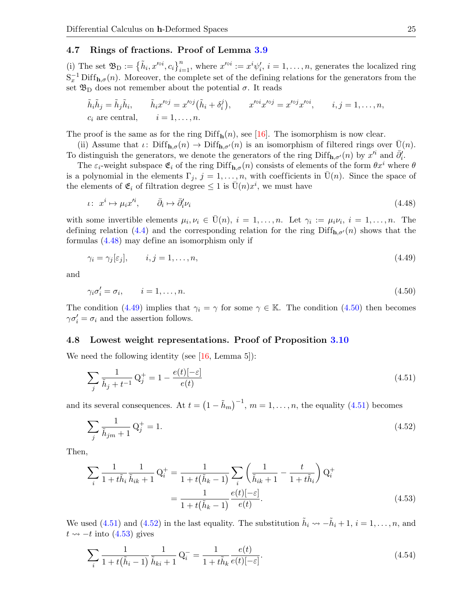### <span id="page-24-0"></span>4.7 Rings of fractions. Proof of Lemma [3.9](#page-8-4)

(i) The set  $\mathfrak{B}_{\text{D}} := \{\tilde{h}_i, x'^{\circ i}, c_i\}_{i=1}^n$ , where  $x'^{\circ i} := x^i \psi'_i$ ,  $i = 1, \ldots, n$ , generates the localized ring  $S_x^{-1}$  Diff<sub>h, $\sigma(n)$ </sub>. Moreover, the complete set of the defining relations for the generators from the set  $\mathfrak{B}_{\mathcal{D}}$  does not remember about the potential  $\sigma$ . It reads

$$
\tilde{h}_i \tilde{h}_j = \tilde{h}_j \tilde{h}_i, \qquad \tilde{h}_i x'^{oj} = x'^{oj} (\tilde{h}_i + \delta_i^j), \qquad x'^{oj} x'^{oj} = x'^{oj} x'^{oi}, \qquad i, j = 1, \dots, n,
$$
  

$$
c_i \text{ are central}, \qquad i = 1, \dots, n.
$$

The proof is the same as for the ring  $\text{Diff}_{h}(n)$ , see [\[16\]](#page-27-18). The isomorphism is now clear.

(ii) Assume that  $\iota: \text{Diff}_{\mathbf{h},\sigma}(n) \to \text{Diff}_{\mathbf{h},\sigma'}(n)$  is an isomorphism of filtered rings over  $U(n)$ . To distinguish the generators, we denote the generators of the ring Diff<sub>h, $\sigma'(n)$ </sub> by  $x'^i$  and  $\bar{\partial}'_i$ .

The  $\varepsilon_i$ -weight subspace  $\mathfrak{E}_i$  of the ring Diff<sub>h, $\sigma$ </sub> $(n)$  consists of elements of the form  $\theta x^i$  where  $\theta$ is a polynomial in the elements  $\Gamma_j$ ,  $j = 1, \ldots, n$ , with coefficients in U(*n*). Since the space of the elements of  $\mathfrak{E}_i$  of filtration degree  $\leq 1$  is  $\overline{\mathrm{U}}(n)x^i$ , we must have

<span id="page-24-2"></span>
$$
\iota: x^i \mapsto \mu_i x'^i, \qquad \bar{\partial}_i \mapsto \bar{\partial}_i' \nu_i \tag{4.48}
$$

with some invertible elements  $\mu_i, \nu_i \in \bar{U}(n), i = 1, \ldots, n$ . Let  $\gamma_i := \mu_i \nu_i, i = 1, \ldots, n$ . The defining relation [\(4.4\)](#page-10-7) and the corresponding relation for the ring  $\text{Diff}_{\mathbf{h},\sigma'}(n)$  shows that the formulas [\(4.48\)](#page-24-2) may define an isomorphism only if

<span id="page-24-3"></span>
$$
\gamma_i = \gamma_j[\varepsilon_j], \qquad i, j = 1, \dots, n,\tag{4.49}
$$

and

<span id="page-24-4"></span>
$$
\gamma_i \sigma'_i = \sigma_i, \qquad i = 1, \dots, n. \tag{4.50}
$$

The condition [\(4.49\)](#page-24-3) implies that  $\gamma_i = \gamma$  for some  $\gamma \in \mathbb{K}$ . The condition [\(4.50\)](#page-24-4) then becomes  $\gamma \sigma_i' = \sigma_i$  and the assertion follows.

### <span id="page-24-1"></span>4.8 Lowest weight representations. Proof of Proposition [3.10](#page-9-3)

We need the following identity (see  $[16, \text{Lemma } 5]$ ):

<span id="page-24-5"></span>
$$
\sum_{j} \frac{1}{\tilde{h}_j + t^{-1}} Q_j^+ = 1 - \frac{e(t)[-\varepsilon]}{e(t)}
$$
\n(4.51)

and its several consequences. At  $t = (1 - \tilde{h}_m)^{-1}$ ,  $m = 1, \ldots, n$ , the equality [\(4.51\)](#page-24-5) becomes

<span id="page-24-6"></span>
$$
\sum_{j} \frac{1}{\tilde{h}_{jm} + 1} Q_j^+ = 1.
$$
\n(4.52)

Then,

<span id="page-24-7"></span>
$$
\sum_{i} \frac{1}{1 + t\tilde{h}_i} \frac{1}{\tilde{h}_{ik} + 1} Q_i^+ = \frac{1}{1 + t(\tilde{h}_k - 1)} \sum_{i} \left( \frac{1}{\tilde{h}_{ik} + 1} - \frac{t}{1 + t\tilde{h}_i} \right) Q_i^+
$$

$$
= \frac{1}{1 + t(\tilde{h}_k - 1)} \frac{e(t)| - \varepsilon]}{e(t)}.
$$
(4.53)

We used [\(4.51\)](#page-24-5) and [\(4.52\)](#page-24-6) in the last equality. The substitution  $\tilde{h}_i \leadsto -\tilde{h}_i + 1$ ,  $i = 1, \ldots, n$ , and  $t \rightarrow -t$  into [\(4.53\)](#page-24-7) gives

<span id="page-24-8"></span>
$$
\sum_{i} \frac{1}{1 + t(\tilde{h}_i - 1)} \frac{1}{\tilde{h}_{ki} + 1} \mathbf{Q}_i^- = \frac{1}{1 + t\tilde{h}_k} \frac{e(t)}{e(t) [-\varepsilon]}.
$$
\n(4.54)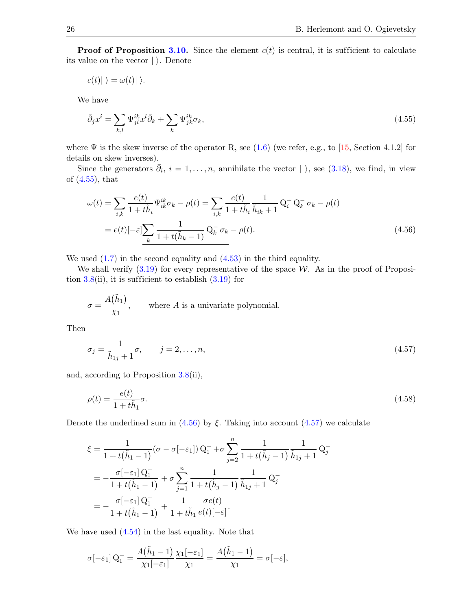**Proof of Proposition [3.10.](#page-9-3)** Since the element  $c(t)$  is central, it is sufficient to calculate its value on the vector  $|\rangle$ . Denote

$$
c(t)|\rangle = \omega(t)|\rangle.
$$

We have

<span id="page-25-0"></span>
$$
\bar{\partial}_j x^i = \sum_{k,l} \Psi_{jl}^{ik} x^l \bar{\partial}_k + \sum_k \Psi_{jk}^{ik} \sigma_k, \tag{4.55}
$$

where  $\Psi$  is the skew inverse of the operator R, see [\(1.6\)](#page-2-8) (we refer, e.g., to [\[15,](#page-27-21) Section 4.1.2] for details on skew inverses).

Since the generators  $\bar{\partial}_i$ ,  $i = 1, \ldots, n$ , annihilate the vector  $|\rangle$ , see [\(3.18\)](#page-9-4), we find, in view of [\(4.55\)](#page-25-0), that

<span id="page-25-1"></span>
$$
\omega(t) = \sum_{i,k} \frac{e(t)}{1+t\tilde{h}_i} \Psi_{ik}^{ik} \sigma_k - \rho(t) = \sum_{i,k} \frac{e(t)}{1+t\tilde{h}_i} \frac{1}{\tilde{h}_{ik}+1} Q_i^+ Q_k^- \sigma_k - \rho(t)
$$
  
=  $e(t) [-\varepsilon] \sum_k \frac{1}{1+t(\tilde{h}_k-1)} Q_k^- \sigma_k - \rho(t).$  (4.56)

We used  $(1.7)$  in the second equality and  $(4.53)$  in the third equality.

We shall verify  $(3.19)$  for every representative of the space W. As in the proof of Proposition  $3.8$ (ii), it is sufficient to establish  $(3.19)$  for

$$
\sigma = \frac{A(\tilde{h}_1)}{\chi_1},
$$
 where *A* is a univariate polynomial.

Then

<span id="page-25-2"></span>
$$
\sigma_j = \frac{1}{\tilde{h}_{1j} + 1}\sigma, \qquad j = 2, \dots, n,
$$
\n(4.57)

and, according to Proposition [3.8\(](#page-8-3)ii),

<span id="page-25-3"></span>
$$
\rho(t) = \frac{e(t)}{1 + t\tilde{h}_1}\sigma.
$$
\n(4.58)

Denote the underlined sum in  $(4.56)$  by  $\xi$ . Taking into account  $(4.57)$  we calculate

$$
\xi = \frac{1}{1 + t(\tilde{h}_1 - 1)} (\sigma - \sigma[-\varepsilon_1]) Q_1^- + \sigma \sum_{j=2}^n \frac{1}{1 + t(\tilde{h}_j - 1)} \frac{1}{\tilde{h}_{1j} + 1} Q_j^-
$$
  
= 
$$
-\frac{\sigma[-\varepsilon_1] Q_1^-}{1 + t(\tilde{h}_1 - 1)} + \sigma \sum_{j=1}^n \frac{1}{1 + t(\tilde{h}_j - 1)} \frac{1}{\tilde{h}_{1j} + 1} Q_j^-
$$
  
= 
$$
-\frac{\sigma[-\varepsilon_1] Q_1^-}{1 + t(\tilde{h}_1 - 1)} + \frac{1}{1 + t\tilde{h}_1} \frac{\sigma e(t)}{e(t) [-\varepsilon]}.
$$

We have used [\(4.54\)](#page-24-8) in the last equality. Note that

$$
\sigma[-\varepsilon_1] Q_1^- = \frac{A(\tilde{h}_1 - 1)}{\chi_1[-\varepsilon_1]} \frac{\chi_1[-\varepsilon_1]}{\chi_1} = \frac{A(\tilde{h}_1 - 1)}{\chi_1} = \sigma[-\varepsilon],
$$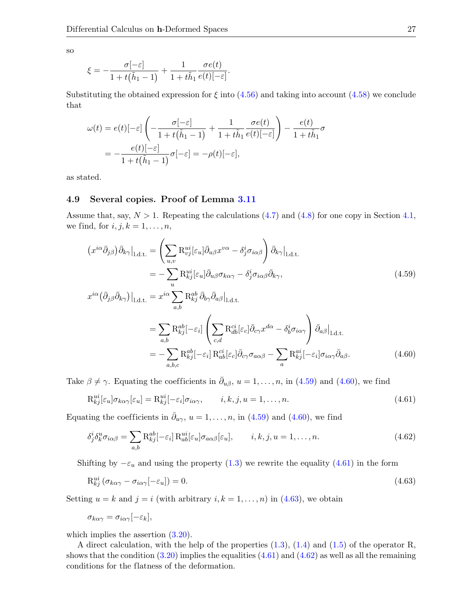so

$$
\xi = -\frac{\sigma[-\varepsilon]}{1+t(\tilde{h}_1-1)} + \frac{1}{1+t\tilde{h}_1}\frac{\sigma e(t)}{e(t)[-\varepsilon]}
$$

Substituting the obtained expression for  $\xi$  into  $(4.56)$  and taking into account  $(4.58)$  we conclude that

<span id="page-26-1"></span>.

$$
\omega(t) = e(t)[-\varepsilon] \left( -\frac{\sigma[-\varepsilon]}{1+t(\tilde{h}_1-1)} + \frac{1}{1+t\tilde{h}_1} \frac{\sigma e(t)}{e(t)[-\varepsilon]} \right) - \frac{e(t)}{1+t\tilde{h}_1} \sigma
$$

$$
= -\frac{e(t)[-\varepsilon]}{1+t(\tilde{h}_1-1)} \sigma[-\varepsilon] = -\rho(t)[-\varepsilon],
$$

as stated.

# <span id="page-26-0"></span>4.9 Several copies. Proof of Lemma [3.11](#page-9-6)

Assume that, say,  $N > 1$ . Repeating the calculations [\(4.7\)](#page-10-3) and [\(4.8\)](#page-10-4) for one copy in Section [4.1,](#page-9-1) we find, for  $i, j, k = 1, \ldots, n$ ,

$$
(x^{i\alpha}\bar{\partial}_{j\beta})\bar{\partial}_{k\gamma}\Big|_{1,\text{d.t.}} = \left(\sum_{u,v} \mathcal{R}_{vj}^{ui}[\varepsilon_u] \bar{\partial}_{u\beta} x^{v\alpha} - \delta_j^i \sigma_{i\alpha\beta}\right) \bar{\partial}_{k\gamma}\Big|_{1,\text{d.t.}}
$$
  

$$
= -\sum_u \mathcal{R}_{kj}^{ui}[\varepsilon_u] \bar{\partial}_{u\beta} \sigma_{k\alpha\gamma} - \delta_j^i \sigma_{i\alpha\beta} \bar{\partial}_{k\gamma},
$$
  

$$
x^{i\alpha} (\bar{\partial}_{j\beta} \bar{\partial}_{k\gamma})\Big|_{1,\text{d.t.}} = x^{i\alpha} \sum_{k\beta} \mathcal{R}_{kj}^{ab} \bar{\partial}_{b\gamma} \bar{\partial}_{a\beta}\Big|_{1,\text{d.t.}}
$$
\n(4.59)

<span id="page-26-2"></span>
$$
\sum_{a,b} \mathbf{R}_{kj}^{ab}[-\varepsilon_i] \left( \sum_{c,d} \mathbf{R}_{db}^{ci}[\varepsilon_c] \bar{\partial}_{c\gamma} x^{d\alpha} - \delta_b^i \sigma_{i\alpha\gamma} \right) \bar{\partial}_{a\beta}|_{1,\text{d.t.}}
$$

$$
= -\sum_{a,b} \mathbf{R}_{kj}^{ab}[-\varepsilon_i] \left( \sum_{c,d} \mathbf{R}_{ab}^{ci}[\varepsilon_c] \bar{\partial}_{c\gamma} x^{d\alpha} - \delta_b^i \sigma_{i\alpha\gamma} \right) \bar{\partial}_{a\beta}|_{1,\text{d.t.}}
$$

$$
= -\sum_{a,b,c} \mathbf{R}_{kj}^{ab}[-\varepsilon_i] \mathbf{R}_{ab}^{ci}[\varepsilon_c] \bar{\partial}_{c\gamma} \sigma_{a\alpha\beta} - \sum_a \mathbf{R}_{kj}^{ai}[-\varepsilon_i] \sigma_{i\alpha\gamma} \bar{\partial}_{a\beta}.
$$
(4.60)

Take  $\beta \neq \gamma$ . Equating the coefficients in  $\bar{\partial}_{u\beta}$ ,  $u = 1, \ldots, n$ , in [\(4.59\)](#page-26-1) and [\(4.60\)](#page-26-2), we find

<span id="page-26-3"></span>
$$
\mathcal{R}_{kj}^{ui}[\varepsilon_u]\sigma_{k\alpha\gamma}[\varepsilon_u] = \mathcal{R}_{kj}^{ui}[-\varepsilon_i]\sigma_{i\alpha\gamma}, \qquad i, k, j, u = 1, \dots, n.
$$
\n(4.61)

Equating the coefficients in  $\bar{\partial}_{u\gamma}$ ,  $u=1,\ldots,n$ , in [\(4.59\)](#page-26-1) and [\(4.60\)](#page-26-2), we find

<span id="page-26-5"></span>
$$
\delta_j^i \delta_k^u \sigma_{i\alpha\beta} = \sum_{a,b} \mathcal{R}_{kj}^{ab} [-\varepsilon_i] \mathcal{R}_{ab}^{ui} [\varepsilon_u] \sigma_{a\alpha\beta} [\varepsilon_u], \qquad i, k, j, u = 1, \dots, n. \tag{4.62}
$$

Shifting by  $-\varepsilon_u$  and using the property [\(1.3\)](#page-2-5) we rewrite the equality [\(4.61\)](#page-26-3) in the form

<span id="page-26-4"></span>
$$
R_{kj}^{ui} \left( \sigma_{k\alpha\gamma} - \sigma_{i\alpha\gamma}[-\varepsilon_u] \right) = 0. \tag{4.63}
$$

Setting  $u = k$  and  $j = i$  (with arbitrary  $i, k = 1, ..., n$ ) in [\(4.63\)](#page-26-4), we obtain

$$
\sigma_{k\alpha\gamma} = \sigma_{i\alpha\gamma}[-\varepsilon_k],
$$

which implies the assertion  $(3.20)$ .

A direct calculation, with the help of the properties [\(1.3\)](#page-2-5), [\(1.4\)](#page-2-6) and [\(1.5\)](#page-2-10) of the operator R, shows that the condition  $(3.20)$  implies the equalities  $(4.61)$  and  $(4.62)$  as well as all the remaining conditions for the flatness of the deformation.